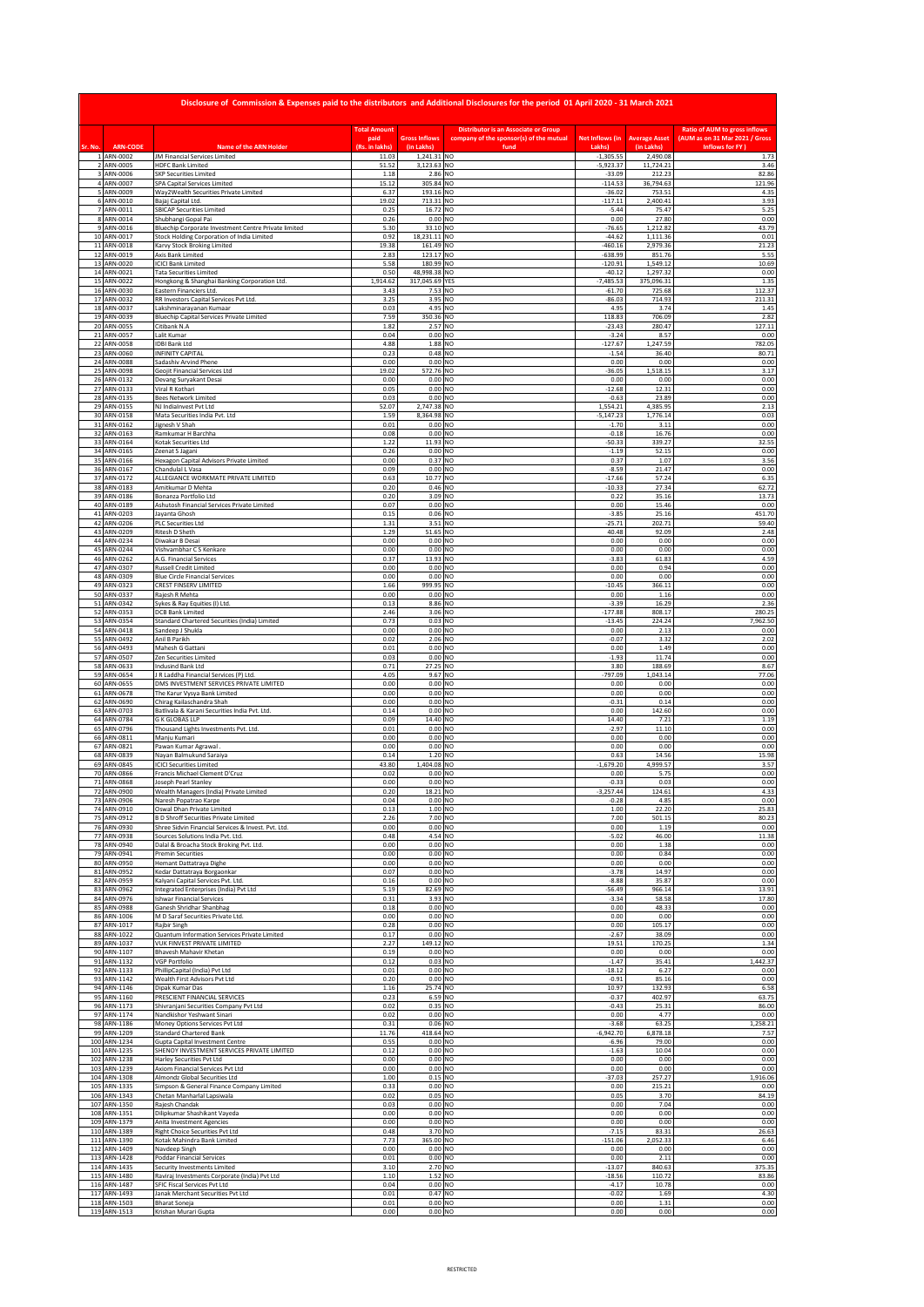|                     |                              | Disclosure of Commission & Expenses paid to the distributors and Additional Disclosures for the period 01 April 2020 - 31 March 2021 |                        |                                    |                                                 |                            |                                    |                                                    |
|---------------------|------------------------------|--------------------------------------------------------------------------------------------------------------------------------------|------------------------|------------------------------------|-------------------------------------------------|----------------------------|------------------------------------|----------------------------------------------------|
|                     |                              |                                                                                                                                      | <b>Total Amount</b>    |                                    | <b>Distributor is an Associate or Group</b>     |                            |                                    | <b>Ratio of AUM to gross inflows</b>               |
| Sr. No              | <b>ARN-CODE</b>              | <b>Name of the ARN Holder</b>                                                                                                        | paid<br>(Rs. in lakhs) | <b>Gross Inflows</b><br>(in Lakhs) | company of the sponsor(s) of the mutual<br>fund | Net Inflows (in<br>Lakhs   | <b>Average Asset</b><br>(in Lakhs) | (AUM as on 31 Mar 2021 / Gross<br>Inflows for FY ) |
|                     | 1 ARN-0002<br>2 ARN-0005     | JM Financial Services Limited<br><b>HDFC Bank Limited</b>                                                                            | 11.03<br>51.52         | 1,241.31 NO<br>3,123.63 NO         |                                                 | $-1,305.55$<br>$-5,923.37$ | 2,490.08<br>11,724.21              | 1.73<br>3.46                                       |
| $\overline{a}$      | 3 ARN-0006<br>ARN-0007       | <b>SKP Securities Limited</b><br>SPA Capital Services Limited                                                                        | 1.18<br>15.12          | 2.86 NO<br>305.84 NO               |                                                 | $-33.09$<br>$-114.53$      | 212.23<br>36,794.63                | 82.86<br>121.96                                    |
| 5<br>6              | ARN-0009<br>ARN-0010         | Way2Wealth Securities Private Limited<br>Bajaj Capital Ltd                                                                           | 6.37<br>19.02          | 193.16 NO<br>713.31 NO             |                                                 | $-36.02$<br>$-117.11$      | 753.51<br>2,400.41                 | 4.35<br>3.93                                       |
| $\overline{7}$<br>8 | ARN-0011<br>ARN-0014         | <b>SBICAP Securities Limited</b><br>Shubhangi Gopal Pai                                                                              | 0.25<br>0.26           | 16.72 NO<br>$0.00$ NO              |                                                 | $-5.44$<br>0.00            | 75.47<br>27.80                     | 5.25<br>0.00                                       |
| $\ddot{q}$          | ARN-0016                     | Bluechip Corporate Investment Centre Private limited                                                                                 | 5.30                   | 33.10 NO                           |                                                 | $-76.65$                   | 1,212.82                           | 43.79                                              |
|                     | 10 ARN-0017<br>11 ARN-0018   | Stock Holding Corporation of India Limited<br>Karvy Stock Broking Limited                                                            | 0.92<br>19.38          | 18,231.11 NO<br>161.49 NO          |                                                 | $-44.62$<br>$-460.16$      | 1,111.36<br>2,979.36               | 0.01<br>21.23                                      |
|                     | 12 ARN-0019<br>13 ARN-0020   | Axis Bank Limited<br><b>ICICI Bank Limited</b>                                                                                       | 2.83<br>5.58           | 123.17 NO<br>180.99 NO             |                                                 | $-638.99$<br>120.91        | 851.76<br>1,549.12                 | 5.55<br>10.69                                      |
|                     | 14 ARN-0021<br>15 ARN-0022   | <b>Tata Securities Limited</b><br>Hongkong & Shanghai Banking Corporation Ltd.                                                       | 0.50<br>1,914.62       | 48,998.38 NO<br>317,045.69 YES     |                                                 | $-40.12$<br>$-7.485.53$    | 1,297.32<br>375,096.31             | 0.00<br>1.35                                       |
|                     | 16 ARN-0030                  | Eastern Financiers Ltd.                                                                                                              | 3.43                   | 7.53 NO                            |                                                 | $-61.70$                   | 725.68                             | 112.37                                             |
|                     | 17 ARN-0032<br>18 ARN-0037   | RR Investors Capital Services Pvt Ltd.<br>Lakshminarayanan Kumaar                                                                    | 3.25<br>0.03           | 3.95 NO<br>4.95 NO                 |                                                 | $-86.03$<br>4.95           | 714.93<br>3.74                     | 211.31<br>1.45                                     |
|                     | 19 ARN-0039<br>20 ARN-0055   | <b>Bluechip Capital Services Private Limited</b><br>Citibank N.A                                                                     | 7.59<br>1.82           | 350.36 NO<br>2.57 NO               |                                                 | 118.83<br>$-23.43$         | 706.09<br>280.47                   | 2.82<br>127.11                                     |
| 21<br>22            | ARN-0057<br>ARN-0058         | Lalit Kumar<br><b>IDBI Bank Ltd</b>                                                                                                  | 0.04<br>4.88           | 0.00 NO<br>1.88 NO                 |                                                 | $-3.24$<br>$-127.67$       | 8.57<br>1,247.59                   | 0.00<br>782.05                                     |
| 23                  | ARN-0060                     | <b>INFINITY CAPITAL</b>                                                                                                              | 0.23                   | 0.48 NO                            |                                                 | $-1.54$                    | 36.40                              | 80.71                                              |
| 24                  | ARN-0088<br>25 ARN-0098      | Sadashiv Arvind Phene<br>Geojit Financial Services Ltd                                                                               | 0.00<br>19.02          | $0.00$ NO<br>572.76 NO             |                                                 | 0.00<br>$-36.05$           | 0.00<br>1,518.15                   | 0.00<br>3.17                                       |
| 27                  | 26 ARN-0132<br>ARN-0133      | Devang Suryakant Desai<br>Viral R Kothari                                                                                            | 0.00<br>0.05           | $0.00$ NO<br>$0.00$ NO             |                                                 | 0.00<br>$-12.68$           | 0.00<br>12.31                      | 0.00<br>0.00                                       |
| 29                  | 28 ARN-0135<br>ARN-0155      | <b>Bees Network Limited</b><br>NJ IndiaInvest Pvt Ltd                                                                                | 0.03<br>52.07          | $0.00$ NO<br>2,747.38 NO           |                                                 | $-0.63$<br>1,554.21        | 23.89<br>4,385.95                  | 0.00<br>2.13                                       |
| 30<br>31            | ARN-0158                     | Mata Securities India Pvt. Ltd                                                                                                       | 1.59                   | 8,364.98 NO                        |                                                 | $-5,147.23$                | 1,776.14                           | 0.03                                               |
| 32                  | ARN-0162<br>ARN-0163         | Jignesh V Shah<br>Ramkumar H Barchha                                                                                                 | 0.01<br>0.08           | $0.00$ NO<br>$0.00$ NO             |                                                 | $-1.70$<br>$-0.18$         | 3.11<br>16.76                      | 0.00<br>0.00                                       |
| 33<br>34            | ARN-0164<br>ARN-0165         | Kotak Securities Ltd<br>Zeenat S Jagani                                                                                              | 1.22<br>0.26           | 11.93 NO<br>$0.00$ NO              |                                                 | $-50.33$<br>$-1.19$        | 339.27<br>52.15                    | 32.55<br>0.00                                      |
| 35<br>36            | ARN-0166<br>ARN-0167         | Hexagon Capital Advisors Private Limited<br>Chandulal L Vasa                                                                         | 0.00<br>0.09           | 0.37 NO<br>$0.00$ NO               |                                                 | 0.37<br>$-8.59$            | 1.07<br>21.47                      | 3.56<br>0.00                                       |
|                     | 37 ARN-0172<br>38 ARN-0183   | ALLEGIANCE WORKMATE PRIVATE LIMITED<br>Amitkumar D Mehta                                                                             | 0.63<br>0.20           | 10.77 NO<br>0.46 NO                |                                                 | $-17.66$<br>$-10.33$       | 57.24<br>27.34                     | 6.35<br>62.72                                      |
|                     | 39 ARN-0186                  | Bonanza Portfolio Ltd                                                                                                                | 0.20                   | 3.09 NO                            |                                                 | 0.22                       | 35.16                              | 13.73                                              |
|                     | 40 ARN-0189<br>41 ARN-0203   | Ashutosh Financial Services Private Limited<br>Jayanta Ghosh                                                                         | 0.07<br>0.15           | $0.00$ NO<br>0.06 NO               |                                                 | 0.00<br>$-3.85$            | 15.46<br>25.16                     | 0.00<br>451.70                                     |
| 43                  | 42 ARN-0206<br>ARN-0209      | <b>PLC Securities Ltd</b><br><b>Ritesh D Sheth</b>                                                                                   | 1.31<br>1.29           | 3.51 NO<br>51.65 NO                |                                                 | $-25.71$<br>40.48          | 202.71<br>92.09                    | 59.40<br>2.48                                      |
| 44<br>45            | ARN-0234<br>ARN-0244         | Diwakar B Desai<br>Vishvambhar C S Kenkare                                                                                           | 0.00<br>0.00           | $0.00$ NO<br>$0.00$ NO             |                                                 | 0.00<br>0.00               | 0.00<br>0.00                       | 0.00<br>0.00                                       |
| 46                  | ARN-0262                     | A.G. Financial Services                                                                                                              | 0.37                   | 13.93 NO                           |                                                 | $-3.82$                    | 61.83                              | 4.59                                               |
| 47<br>48            | ARN-0307<br>ARN-0309         | <b>Russell Credit Limited</b><br><b>Blue Circle Financial Services</b>                                                               | 0.00<br>0.00           | $0.00$ NO<br>$0.00$ NO             |                                                 | 0.00<br>0.00               | 0.94<br>0.00                       | 0.00<br>0.00                                       |
| 49<br>50            | ARN-0323<br>ARN-0337         | CREST FINSERV LIMITED<br>Rajesh R Mehta                                                                                              | 1.66<br>0.00           | 999.95 NO<br>$0.00$ NO             |                                                 | $-10.45$<br>0.00           | 366.11<br>1.16                     | 0.00<br>0.00                                       |
| 52                  | 51 ARN-0342<br>ARN-0353      | Sykes & Ray Equities (I) Ltd.<br>DCB Bank Limited                                                                                    | 0.13<br>2.46           | 8.86 NO<br>3.06 NO                 |                                                 | $-3.39$<br>$-177.88$       | 16.29<br>808.17                    | 2.36<br>280.25                                     |
| 53                  | ARN-0354                     | Standard Chartered Securities (India) Limited                                                                                        | 0.73                   | 0.03 NO                            |                                                 | $-13.45$                   | 224.24                             | 7,962.50                                           |
| 54<br>55            | ARN-0418<br>ARN-0492         | Sandeep J Shukla<br>Anil B Parikh                                                                                                    | 0.00<br>0.02           | $0.00$ NO<br>2.06 NO               |                                                 | 0.00<br>$-0.07$            | 2.13<br>3.32                       | 0.00<br>2.02                                       |
| 56<br>57            | ARN-0493<br>ARN-0507         | Mahesh G Gattani<br>Zen Securities Limited                                                                                           | 0.01<br>0.03           | $0.00$ NO<br>$0.00$ NO             |                                                 | 0.00<br>$-1.93$            | 1.49<br>11.74                      | 0.00<br>0.00                                       |
| 58<br>59            | ARN-0633<br>ARN-0654         | Indusind Bank Ltd<br>R Laddha Financial Services (P) Ltd.                                                                            | 0.71<br>4.05           | 27.25 NO<br>9.67 NO                |                                                 | 3.80<br>797.09             | 188.69<br>1,043.14                 | 8.67<br>77.06                                      |
|                     | 60 ARN-0655                  | DMS INVESTMENT SERVICES PRIVATE LIMITED                                                                                              | 0.00                   | $0.00$ NO                          |                                                 | 0.00                       | 0.00                               | 0.00                                               |
| 61<br>62            | ARN-0678<br>ARN-0690         | The Karur Vysya Bank Limited<br>Chirag Kailaschandra Shah                                                                            | 0.00<br>0.00           | $0.00$ NO<br>$0.00$ NO             |                                                 | 0.00<br>$-0.31$            | 0.00<br>0.14                       | 0.00<br>0.00                                       |
|                     | 63 ARN-0703<br>64 ARN-0784   | Batlivala & Karani Securities India Pvt. Ltd.<br><b>G K GLOBAS LLP</b>                                                               | 0.14<br>0.09           | $0.00$ NO<br>14.40 NO              |                                                 | 0.00<br>14.40              | 142.60<br>7.21                     | 0.00<br>1.19                                       |
|                     | 65 ARN-0796<br>66 ARN-0811   | Thousand Lights Investments Pvt. Ltd.<br>Manju Kumari                                                                                | 0.01<br>0.00           | $0.00$ NO<br>$0.00$ NO             |                                                 | $-2.97$<br>0.00            | 11.10<br>0.00                      | 0.00<br>0.00                                       |
|                     | 67 ARN-0821                  | Pawan Kumar Agrawal.                                                                                                                 | 0.00                   | $0.00$ NO                          |                                                 | 0.00                       | 0.00                               | 0.00                                               |
| 68<br>69            | ARN-0839<br>ARN-0845         | Nayan Balmukund Saraiya<br><b>ICICI Securities Limited</b>                                                                           | 0.14<br>43.80          | 1.20 NO<br>1,404.08 NO             |                                                 | 0.63<br>$-1,679.20$        | 14.56<br>4,999.57                  | 15.98<br>3.57                                      |
| 70<br>71            | ARN-0866<br>ARN-0868         | Francis Michael Clement D'Cruz<br>Joseph Pearl Stanley                                                                               | 0.02<br>0.00           | $0.00$ NO<br>$0.00$ NO             |                                                 | 0.00<br>$-0.33$            | 5.75<br>0.03                       | 0.00<br>0.00                                       |
| 73                  | AKN-0901<br>ARN-0906         | I Wealth Managers (I<br>Naresh Popatrao Karpe                                                                                        | 0.04                   | $0.00$ NO                          |                                                 | $-0.28$                    | 4.85                               | 0.00                                               |
| 74                  | ARN-0910<br>75 ARN-0912      | Oswal Dhan Private Limited                                                                                                           | 0.13                   | 1.00 NO<br>7.00 NO                 |                                                 | 1.00                       | 22.20<br>501.15                    | 25.83                                              |
|                     | 76 ARN-0930                  | <b>B D Shroff Securities Private Limited</b><br>Shree Sidvin Financial Services & Invest. Pvt. Ltd.                                  | 2.26<br>0.00           | $0.00$ NO                          |                                                 | 7.00<br>0.00               | 1.19                               | 80.23<br>0.00                                      |
|                     | 77 ARN-0938<br>78 ARN-0940   | Sources Solutions India Pvt. Ltd.<br>Dalal & Broacha Stock Broking Pvt. Ltd.                                                         | 0.48<br>0.00           | 4.54 NO<br>$0.00$ NO               |                                                 | $-5.02$<br>0.00            | 46.00<br>1.38                      | 11.38<br>0.00                                      |
|                     | 79 ARN-0941<br>80 ARN-0950   | <b>Premin Securities</b><br>Hemant Dattatraya Dighe                                                                                  | 0.00<br>0.00           | $0.00$ NO<br>$0.00$ NO             |                                                 | 0.00<br>0.00               | 0.84<br>0.00                       | 0.00<br>0.00                                       |
|                     | 81 ARN-0952<br>82 ARN-0959   | Kedar Dattatraya Borgaonkar<br>Kalyani Capital Services Pvt. Ltd.                                                                    | 0.07<br>0.16           | $0.00$ NO<br>$0.00$ NO             |                                                 | $-3.78$<br>$-8.88$         | 14.97<br>35.87                     | 0.00<br>0.00                                       |
|                     | 83 ARN-0962                  | Integrated Enterprises (India) Pvt Ltd                                                                                               | 5.19                   | 82.69 NO                           |                                                 | $-56.49$                   | 966.14                             | 13.91                                              |
|                     | 84 ARN-0976<br>85 ARN-0988   | Ishwar Financial Services<br>Ganesh Shridhar Shanbhag                                                                                | 0.31<br>0.18           | 3.93 NO<br>$0.00$ NO               |                                                 | $-3.34$<br>0.00            | 58.58<br>48.33                     | 17.80<br>0.00                                      |
|                     | 86 ARN-1006<br>87 ARN-1017   | M D Saraf Securities Private Ltd.<br>Rajbir Singh                                                                                    | 0.00<br>0.28           | $0.00$ NO<br>$0.00$ NO             |                                                 | 0.00<br>0.00               | 0.00<br>105.17                     | 0.00<br>0.00                                       |
|                     | 88 ARN-1022<br>89 ARN-1037   | Quantum Information Services Private Limited<br>VUK FINVEST PRIVATE LIMITED                                                          | 0.17<br>2.27           | $0.00$ NO<br>149.12 NO             |                                                 | $-2.67$<br>19.51           | 38.09<br>170.25                    | 0.00<br>1.34                                       |
|                     | 90 ARN-1107<br>91 ARN-1132   | Bhavesh Mahavir Khetan<br><b>VGP Portfolio</b>                                                                                       | 0.19<br>0.12           | $0.00$ NO<br>$0.03$ NO             |                                                 | 0.00<br>$-1.47$            | 0.00<br>35.41                      | 0.00<br>1,442.37                                   |
|                     | 92 ARN-1133                  | PhillipCapital (India) Pvt Ltd                                                                                                       | 0.01                   | $0.00$ NO                          |                                                 | $-18.12$                   | 6.27                               | 0.00                                               |
|                     | 93 ARN-1142<br>94 ARN-1146   | Wealth First Advisors Pvt Ltd<br>Dipak Kumar Das                                                                                     | 0.20<br>1.16           | $0.00$ NO<br>25.74 NO              |                                                 | $-0.91$<br>10.97           | 85.16<br>132.93                    | 0.00<br>6.58                                       |
|                     | 95 ARN-1160<br>96 ARN-1173   | PRESCIENT FINANCIAL SERVICES<br>Shivranjani Securities Company Pvt Ltd                                                               | 0.23<br>0.02           | 6.59 NO<br>0.35 NO                 |                                                 | $-0.37$<br>$-0.43$         | 402.97<br>25.31                    | 63.75<br>86.00                                     |
|                     | 97 ARN-1174<br>98 ARN-1186   | Nandkishor Yeshwant Sinari<br>Money Options Services Pvt Ltd                                                                         | 0.02<br>0.31           | $0.00$ NO<br>0.06 NO               |                                                 | 0.00<br>$-3.68$            | 4.77<br>63.25                      | 0.00<br>1,258.21                                   |
|                     | 99 ARN-1209                  | <b>Standard Chartered Bank</b>                                                                                                       | 11.76                  | 418.64 NO                          |                                                 | $-6,942.70$                | 6,878.18                           | 7.57                                               |
|                     | 100 ARN-1234<br>101 ARN-1235 | <b>Gupta Capital Investment Centre</b><br>SHENOY INVESTMENT SERVICES PRIVATE LIMITED                                                 | 0.55<br>0.12           | $0.00$ NO<br>$0.00$ NO             |                                                 | $-6.96$<br>$-1.63$         | 79.00<br>10.04                     | 0.00<br>0.00                                       |
|                     | 102 ARN-1238<br>103 ARN-1239 | Harley Securities Pvt Ltd<br>Axiom Financial Services Pvt Ltd                                                                        | 0.00<br>0.00           | $0.00$ NO<br>$0.00$ NO             |                                                 | 0.00<br>0.00               | 0.00<br>0.00                       | 0.00<br>0.00                                       |
|                     | 104 ARN-1308<br>105 ARN-1335 | Almondz Global Securities Ltd<br>Simpson & General Finance Company Limited                                                           | 1.00<br>0.33           | 0.15 NO<br>$0.00$ NO               |                                                 | $-37.03$<br>0.00           | 257.27<br>215.21                   | 1,916.06<br>0.00                                   |
|                     | 106 ARN-1343                 | Chetan Manharlal Lapsiwala                                                                                                           | 0.02                   | 0.05 NO                            |                                                 | 0.05                       | 3.70                               | 84.19                                              |
|                     | 107 ARN-1350<br>108 ARN-1351 | Rajesh Chandak<br>Dilipkumar Shashikant Vayeda                                                                                       | 0.03<br>0.00           | $0.00$ NO<br>$0.00$ NO             |                                                 | 0.00<br>0.00               | 7.04<br>0.00                       | 0.00<br>0.00                                       |
|                     | 109 ARN-1379<br>110 ARN-1389 | Anita Investment Agencies<br><b>Right Choice Securities Pvt Ltd</b>                                                                  | 0.00<br>0.48           | $0.00$ NO<br>3.70 NO               |                                                 | 0.00<br>$-7.15$            | 0.00<br>83.31                      | 0.00<br>26.63                                      |
| 111<br>112          | ARN-1390<br>ARN-1409         | Kotak Mahindra Bank Limited<br>Navdeep Singh                                                                                         | 7.73<br>0.00           | 365.00 NO<br>$0.00$ NO             |                                                 | $-151.06$<br>0.00          | 2,052.33<br>0.00                   | 6.46<br>0.00                                       |
|                     | 113 ARN-1428                 | <b>Poddar Financial Services</b>                                                                                                     | 0.01                   | $0.00$ NO                          |                                                 | 0.00                       | 2.11                               | 0.00                                               |
|                     | 114 ARN-1435<br>115 ARN-1480 | Security Investments Limited<br>Raviraj Investments Corporate (India) Pvt Ltd                                                        | 3.10<br>1.10           | 2.70 NO<br>1.52 NO                 |                                                 | $-13.07$<br>$-18.56$       | 840.63<br>110.72                   | 375.35<br>83.86                                    |
| 117                 | 116 ARN-1487<br>ARN-1493     | SFIC Fiscal Services Pvt Ltd<br>Janak Merchant Securities Pvt Ltd                                                                    | 0.04<br>0.01           | $0.00$ NO<br>0.47 NO               |                                                 | $-4.17$<br>$-0.02$         | 10.78<br>1.69                      | 0.00<br>4.30                                       |
|                     | 118 ARN-1503<br>119 ARN-1513 | <b>Bharat Soneja</b><br>Krishan Murari Gupta                                                                                         | 0.01<br>0.00           | $0.00$ NO<br>$0.00$ NO             |                                                 | 0.00<br>0.00               | 1.31<br>0.00                       | 0.00<br>0.00                                       |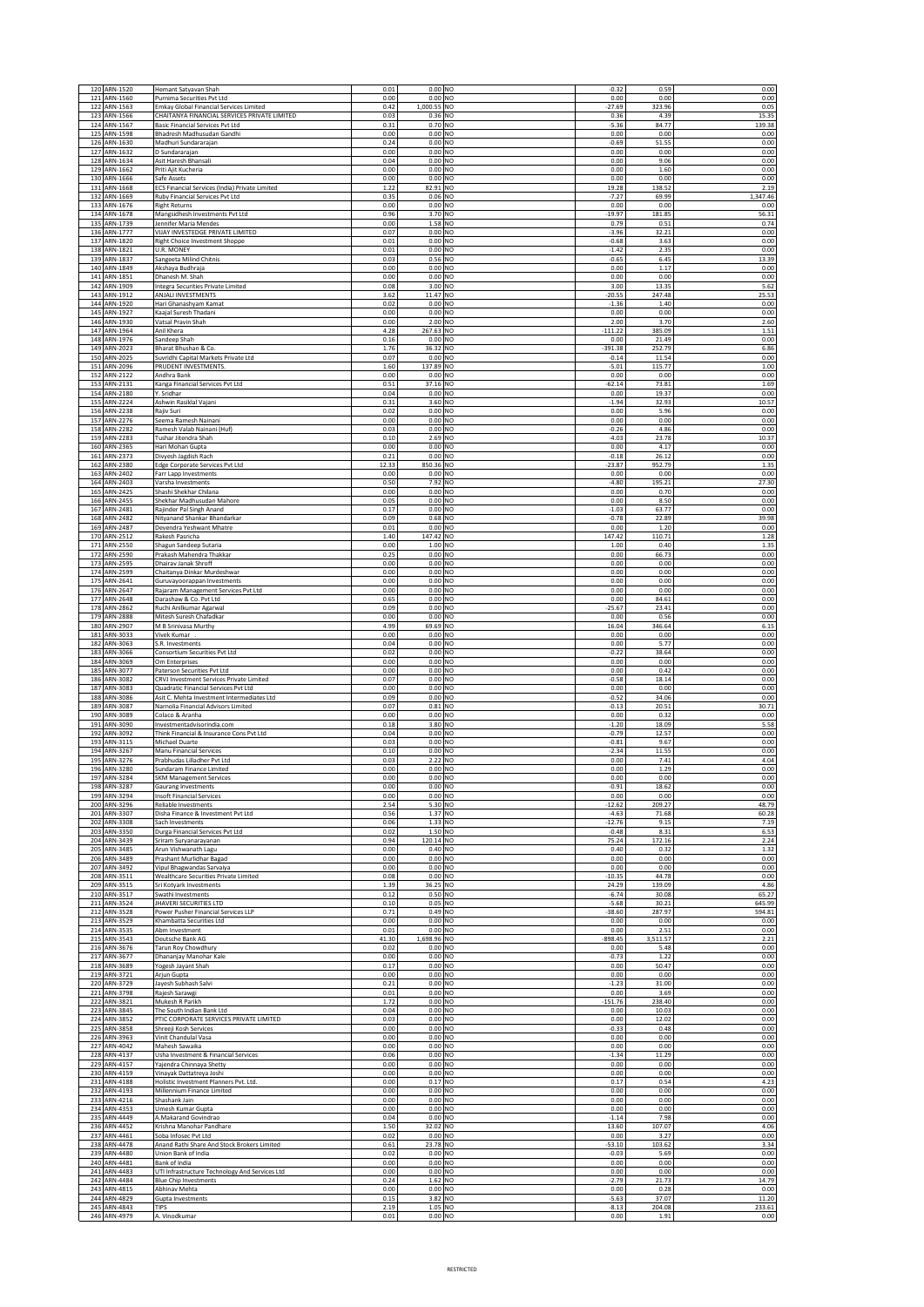|            | 120 ARN-1520                 | Hemant Satyavan Shah                                                              | 0.01          | 0.00 NO                |                                  | $-0.32$              | 0.59             | 0.00             |
|------------|------------------------------|-----------------------------------------------------------------------------------|---------------|------------------------|----------------------------------|----------------------|------------------|------------------|
|            | 121 ARN-1560<br>122 ARN-1563 | Purnima Securities Pvt Ltd<br><b>Emkay Global Financial Services Limited</b>      | 0.00<br>0.42  | $0.00$ NO<br>1,000.55  | NO                               | 0.00<br>$-27.69$     | 0.00<br>323.96   | 0.00<br>0.05     |
| 123        | ARN-1566                     | CHAITANYA FINANCIAL SERVICES PRIVATE LIMITED                                      | 0.03          | 0.36                   | NO                               | 0.36                 | 4.39             | 15.35            |
| 124        | ARN-1567<br>125 ARN-1598     | <b>Basic Financial Services Pvt Ltd</b><br>Bhadresh Madhusudan Gandhi             | 0.31<br>0.00  | 0.70 NO<br>$0.00$ NO   |                                  | $-5.36$<br>0.00      | 84.77<br>0.00    | 139.38<br>0.00   |
|            | 126 ARN-1630                 | Madhuri Sundararajan                                                              | 0.24          | $0.00$ NO              |                                  | $-0.69$              | 51.55            | 0.00             |
| 127        | ARN-1632<br>128 ARN-1634     | D Sundararajan<br>Asit Haresh Bhansali                                            | 0.00<br>0.04  | $0.00$ NO<br>0.00      | NO                               | 0.00<br>0.00         | 0.00<br>9.06     | 0.00<br>0.00     |
|            | 129 ARN-1662<br>130 ARN-1666 | Priti Ajit Kucheria<br>Safe Assets                                                | 0.00<br>0.00  | 0.00<br>0.00           | NO<br>NO                         | 0.00<br>0.00         | 1.60<br>0.00     | 0.00<br>0.00     |
|            | 131 ARN-1668                 | ECS Financial Services (India) Private Limited                                    | 1.22          | 82.91 NO               |                                  | 19.28                | 138.52           | 2.19             |
| 133        | 132 ARN-1669<br>ARN-1676     | Ruby Financial Services Pvt Ltd<br><b>Right Returns</b>                           | 0.35<br>0.00  | 0.06<br>0.00           | N <sub>O</sub><br>NO             | $-7.27$<br>0.00      | 69.99<br>0.00    | 1,347.46<br>0.00 |
|            | 134 ARN-1678                 | Mangsidhesh Investments Pvt Ltd                                                   | 0.96          | 3.70                   | NO                               | $-19.97$             | 181.85           | 56.31            |
| 136        | 135 ARN-1739<br>ARN-1777     | Jennifer Maria Mendes<br>VIJAY INVESTEDGE PRIVATE LIMITED                         | 0.00<br>0.07  | 1.58<br>0.00           | NO<br>NO                         | 0.79<br>$-3.96$      | 0.51<br>32.21    | 0.74<br>0.00     |
| 137        | ARN-1820                     | <b>Right Choice Investment Shoppe</b>                                             | 0.01          | 0.00                   | NO                               | $-0.68$              | 3.63             | 0.00             |
| 138        | ARN-1821<br>139 ARN-1837     | U.R. MONEY<br>Sangeeta Milind Chitnis                                             | 0.01<br>0.03  | 0.00<br>0.56           | NO<br><b>NO</b>                  | $-1.42$<br>$-0.65$   | 2.35<br>6.45     | 0.00<br>13.39    |
| 140        | ARN-1849                     | Akshaya Budhraja                                                                  | 0.00          | 0.00                   | NO                               | 0.00                 | 1.17             | 0.00             |
|            | 141 ARN-1851<br>142 ARN-1909 | Dhanesh M. Shah<br>Integra Securities Private Limited                             | 0.00<br>0.08  | 0.00<br>3.00           | N <sub>O</sub><br>N <sub>O</sub> | 0.00<br>3.00         | 0.00<br>13.35    | 0.00<br>5.62     |
|            | 143 ARN-1912<br>144 ARN-1920 | ANJALI INVESTMENTS                                                                | 3.62<br>0.02  | 11.47 NO<br>$0.00$ NO  |                                  | $-20.55$<br>$-1.36$  | 247.48<br>1.40   | 25.53<br>0.00    |
|            | 145 ARN-1927                 | Hari Ghanashyam Kamat<br>Kaajal Suresh Thadani                                    | 0.00          | 0.00 NO                |                                  | 0.00                 | 0.00             | 0.00             |
|            | 146 ARN-1930<br>147 ARN-1964 | Vatsal Pravin Shah<br>Anil Khera                                                  | 0.00<br>4.28  | 2.00 NO<br>267.63 NO   |                                  | 2.00<br>$-111.22$    | 3.70<br>385.09   | 2.60<br>1.51     |
| 148        | ARN-1976                     | Sandeep Shah                                                                      | 0.16          | 0.00                   | NO                               | 0.00                 | 21.49            | 0.00             |
| 149        | ARN-2023<br>150 ARN-2025     | Bharat Bhushan & Co.<br>Suvridhi Capital Markets Private Ltd                      | 1.76<br>0.07  | 36.32 NO<br>$0.00$ NO  |                                  | $-391.38$<br>$-0.14$ | 252.79<br>11.54  | 6.86<br>0.00     |
|            | 151 ARN-2096                 | PRUDENT INVESTMENTS.                                                              | 1.60          | 137.89 NO              |                                  | $-5.01$              | 115.77           | 1.00             |
|            | 152 ARN-2122<br>153 ARN-2131 | Andhra Bank<br>Kanga Financial Services Pvt Ltd                                   | 0.00<br>0.51  | $0.00$ NO<br>37.16     | NO                               | 0.00<br>$-62.14$     | 0.00<br>73.81    | 0.00<br>1.69     |
|            | 154 ARN-2180<br>155 ARN-2224 | Y. Sridhar                                                                        | 0.04<br>0.31  | 0.00<br>3.60           | NO<br>NO                         | 0.00<br>$-1.94$      | 19.37<br>32.93   | 0.00<br>10.57    |
|            | 156 ARN-2238                 | Ashwin Rasiklal Vajani<br>Rajiv Suri                                              | 0.02          | 0.00                   | N <sub>O</sub>                   | 0.00                 | 5.96             | 0.00             |
| 158        | 157 ARN-2276<br>ARN-2282     | Seema Ramesh Nainani<br>Ramesh Valab Nainani (Huf)                                | 0.00<br>0.03  | 0.00<br>0.00           | N <sub>O</sub><br>NO             | 0.00<br>$-0.26$      | 0.00<br>4.86     | 0.00<br>0.00     |
|            | 159 ARN-2283                 | Tushar Jitendra Shah                                                              | 0.10          | 2.69                   | NO                               | $-4.03$              | 23.78            | 10.37            |
| 161        | 160 ARN-2365<br>ARN-2373     | Hari Mohan Gupta<br>Divyesh Jagdish Rach                                          | 0.00<br>0.21  | 0.00<br>0.00           | NO<br>NO                         | 0.00<br>$-0.18$      | 4.17<br>26.12    | 0.00<br>0.00     |
| 162        | ARN-2380                     | Edge Corporate Services Pvt Ltd                                                   | 12.33         | 850.36                 | NO                               | $-23.87$             | 952.79           | 1.35             |
| 163        | ARN-2402<br>164 ARN-2403     | Farr Lapp Investments<br>Varsha Investments                                       | 0.00<br>0.50  | 0.00<br>7.92           | NO<br><b>NO</b>                  | 0.00<br>$-4.80$      | 0.00<br>195.21   | 0.00<br>27.30    |
| 165<br>166 | ARN-2425<br>ARN-2455         | Shashi Shekhar Chilana<br>Shekhar Madhusudan Mahore                               | 0.00<br>0.05  | 0.00<br>0.00           | NO<br>NO                         | 0.00<br>0.00         | 0.70<br>8.50     | 0.00<br>0.00     |
|            | 167 ARN-2481                 | Rajinder Pal Singh Anand                                                          | 0.17          | 0.00                   | NO                               | $-1.03$              | 63.77            | 0.00             |
| 168        | ARN-2482<br>169 ARN-2487     | Nityanand Shankar Bhandarkar<br>Devendra Yeshwant Mhatre                          | 0.09<br>0.01  | 0.68 NO<br>$0.00$ NO   |                                  | $-0.78$<br>0.00      | 22.89<br>1.20    | 39.98<br>0.00    |
|            | 170 ARN-2512                 | Rakesh Pasricha                                                                   | 1.40          | 147.42                 | N <sub>O</sub>                   | 147.42               | 110.71           | 1.28             |
| 171        | ARN-2550<br>172 ARN-2590     | Shagun Sandeep Sutaria<br>Prakash Mahendra Thakkar                                | 0.00<br>0.25  | 1.00<br>$0.00$ NO      | N <sub>O</sub>                   | 1.00<br>0.00         | 0.40<br>66.73    | 1.35<br>0.00     |
|            | 173 ARN-2595                 | Dhairav Janak Shroff                                                              | 0.00          | 0.00                   | NO                               | 0.00                 | 0.00             | 0.00             |
| 174        | ARN-2599<br>175 ARN-2641     | Chaitanya Dinkar Murdeshwar<br>Guruvayoorappan Investments                        | 0.00<br>0.00  | 0.00<br>$0.00$ NO      | NO                               | 0.00<br>0.00         | 0.00<br>0.00     | 0.00<br>0.00     |
|            | 176 ARN-2647                 | Rajaram Management Services Pvt Ltd                                               | 0.00          | $0.00$ NO              |                                  | 0.00                 | 0.00             | 0.00             |
| 177<br>178 | ARN-2648<br>ARN-2862         | Darashaw & Co. Pvt Ltd<br>Ruchi Anilkumar Agarwal                                 | 0.65<br>0.09  | $0.00$ NO<br>0.00      | NO                               | 0.00<br>$-25.67$     | 84.61<br>23.41   | 0.00<br>0.00     |
|            | 179 ARN-2888<br>180 ARN-2907 | Mitesh Suresh Chafadkar<br>M B Srinivasa Murthy                                   | 0.00<br>4.99  | 0.00<br>69.69          | NO<br>NO                         | 0.00<br>16.04        | 0.56<br>346.64   | 0.00<br>6.15     |
|            | 181 ARN-3033                 | Vivek Kumar                                                                       | 0.00          | 0.00                   | NO                               | 0.00                 | 0.00             | 0.00             |
| 183        | 182 ARN-3063<br>ARN-3066     | S.R. Investments<br>Consortium Securities Pvt Ltd                                 | 0.04<br>0.02  | 0.00<br>0.00           | NO<br>NO                         | 0.00<br>$-0.22$      | 5.77<br>38.64    | 0.00<br>0.00     |
| 184        | ARN-3069                     | Om Enterprises                                                                    | 0.00          | 0.00                   | NO                               | 0.00                 | 0.00             | 0.00             |
|            |                              |                                                                                   |               |                        |                                  |                      |                  |                  |
|            | 185 ARN-3077                 | Paterson Securities Pvt Ltd                                                       | 0.00<br>0.07  | 0.00<br>0.00           | NO                               | 0.00                 | 0.42             | 0.00             |
| 186<br>187 | ARN-3082<br>ARN-3083         | CRVJ Investment Services Private Limited<br>Quadratic Financial Services Pvt Ltd  | 0.00          | 0.00                   | NO<br>NO                         | $-0.58$<br>0.00      | 18.14<br>0.00    | 0.00<br>0.00     |
| 188<br>189 | ARN-3086<br>ARN-3087         | Asit C. Mehta Investment Intermediates Ltd<br>Narnolia Financial Advisors Limited | 0.09<br>0.07  | 0.00<br>0.81           | NO<br>NO                         | $-0.52$<br>$-0.13$   | 34.06<br>20.51   | 0.00<br>30.71    |
| 190        | ARN-3089                     | Colaco & Aranha                                                                   | 0.00          | 0.00                   | NO                               | 0.00                 | 0.32             | 0.00             |
|            | 191 ARN-3090<br>192 ARN-3092 | Investmentadvisorindia.com<br>Think Financial & Insurance Cons Pvt Ltd            | 0.18<br>0.04  | 3.80<br>0.00           | NO<br>NO                         | $-1.20$<br>$-0.79$   | 18.09<br>12.57   | 5.58<br>0.00     |
| 193        | ARN-3115<br>194 ARN-3267     | Michael Duarte<br>Manu Financial Services                                         | 0.03<br>0.10  | 0.00<br>$0.00$ NO      | N <sub>O</sub>                   | $-0.81$<br>$-2.34$   | 9.67<br>11.55    | 0.00<br>0.00     |
|            | 195 ARN-3276                 | Prabhudas Lilladher Pvt Ltd                                                       | 0.03          | 2.22                   | N <sub>O</sub>                   | 0.00                 | 7.41             | 4.04             |
| 196        | ARN-3280<br>197 ARN-3284     | Sundaram Finance Limited<br><b>SKM Management Services</b>                        | 0.00<br>0.00  | 0.00<br>0.00           | N <sub>O</sub><br>NO             | 0.00<br>0.00         | 1.29<br>0.00     | 0.00<br>0.00     |
|            | 198 ARN-3287                 | Gaurang Investments                                                               | 0.00          | $0.00$ NO              |                                  | $-0.91$              | 18.62            | 0.00             |
|            | 199 ARN-3294<br>200 ARN-3296 | <b>Insoft Financial Services</b><br><b>Reliable Investments</b>                   | 0.00<br>2.54  | 0.00<br>5.30 NO        | <b>NO</b>                        | 0.00<br>$-12.62$     | 0.00<br>209.27   | 0.00<br>48.79    |
|            | 201 ARN-3307                 | Disha Finance & Investment Pvt Ltd                                                | 0.56<br>0.06  | 1.37 NO                |                                  | $-4.63$<br>$-12.76$  | 71.68<br>9.15    | 60.28            |
| 203        | 202 ARN-3308<br>ARN-3350     | Sach Investments<br>Durga Financial Services Pvt Ltd                              | 0.02          | 1.33 NO<br>1.50 NO     |                                  | $-0.48$              | 8.31             | 7.19<br>6.53     |
|            | 204 ARN-3439<br>205 ARN-3485 | Sriram Suryanarayanan<br>Arun Vishwanath Lagu                                     | 0.94<br>0.00  | 120.14<br>0.40 NO      | NO.                              | 75.24<br>0.40        | 172.16<br>0.32   | 2.24<br>1.32     |
|            | 206 ARN-3489                 | Prashant Murlidhar Bagad                                                          | 0.00          | $0.00$ NO              |                                  | 0.00                 | 0.00             | 0.00             |
|            | 207 ARN-3492<br>208 ARN-3511 | Vipul Bhagwandas Sarvaiya<br>Wealthcare Securities Private Limited                | 0.00<br>0.08  | $0.00$ NO<br>0.00      | NO.                              | 0.00<br>$-10.35$     | 0.00<br>44.78    | 0.00<br>0.00     |
|            | 209 ARN-3515<br>210 ARN-3517 | Sri Kotyark Investments<br>Swathi Investments                                     | 1.39<br>0.12  | 36.25<br>0.50          | NO<br>NO                         | 24.29<br>$-6.74$     | 139.09<br>30.08  | 4.86<br>65.27    |
| 211        | ARN-3524                     | <b>JHAVERI SECURITIES LTD</b>                                                     | 0.10          | 0.05                   | NO                               | $-5.68$              | 30.21            | 645.99           |
| 212        | ARN-3528<br>213 ARN-3529     | Power Pusher Financial Services LLP<br>Khambatta Securities Ltd                   | 0.71<br>0.00  | 0.49<br>$0.00$ NO      | NO                               | $-38.60$<br>0.00     | 287.97<br>0.00   | 594.81<br>0.00   |
|            | 214 ARN-3535                 | Abm Investment                                                                    | 0.01          | 0.00                   | NO                               | 0.00                 | 2.51             | 0.00             |
| 215        | ARN-3543<br>216 ARN-3676     | Deutsche Bank AG<br>Tarun Roy Chowdhury                                           | 41.30<br>0.02 | 1,698.96<br>$0.00$ NO  | NO                               | 898.45<br>0.00       | 3,511.57<br>5.48 | 2.21<br>0.00     |
|            | 217 ARN-3677                 | Dhananjay Manohar Kale                                                            | 0.00          | 0.00                   | NO                               | $-0.73$<br>0.00      | 1.22             | 0.00             |
|            | 218 ARN-3689<br>219 ARN-3721 | Yogesh Jayant Shah<br>Arjun Gupta                                                 | 0.17<br>0.00  | $0.00$ NO<br>$0.00$ NO |                                  | 0.00                 | 50.47<br>0.00    | 0.00<br>0.00     |
| 221        | 220 ARN-3729<br>ARN-3798     | Jayesh Subhash Salvi                                                              | 0.21<br>0.01  | $0.00$ NO<br>$0.00$ NO |                                  | $-1.23$<br>0.00      | 31.00<br>3.69    | 0.00<br>0.00     |
|            | 222 ARN-3821                 | Rajesh Sarawgi<br>Mukesh R Parikh                                                 | 1.72          | 0.00N                  |                                  | $-151.76$            | 238.40           | 0.00             |
| 224        | 223 ARN-3845<br>ARN-3852     | The South Indian Bank Ltd<br>PTIC CORPORATE SERVICES PRIVATE LIMITED              | 0.04<br>0.03  | $0.00$ NO<br>0.00      | NO.                              | 0.00<br>0.00         | 10.03<br>12.02   | 0.00<br>0.00     |
| 225        | ARN-3858                     | Shreeji Kosh Services                                                             | 0.00          | 0.00                   | NO                               | $-0.33$              | 0.48             | 0.00             |
|            | 226 ARN-3963<br>227 ARN-4042 | Vinit Chandulal Vasa<br>Mahesh Sawaika                                            | 0.00<br>0.00  | $0.00$ NO<br>$0.00$ NO |                                  | 0.00<br>0.00         | 0.00<br>0.00     | 0.00<br>0.00     |
| 228        | ARN-4137                     | Usha Investment & Financial Services                                              | 0.06          | $0.00$ NO              |                                  | $-1.34$              | 11.29            | 0.00             |
|            | 229 ARN-4157<br>230 ARN-4159 | Yajendra Chinnaya Shetty<br>Vinayak Dattatreya Joshi                              | 0.00<br>0.00  | $0.00$ NO<br>$0.00$ NO |                                  | 0.00<br>0.00         | 0.00<br>0.00     | 0.00<br>0.00     |
|            | 231 ARN-4188                 | Holistic Investment Planners Pvt. Ltd.                                            | 0.00          | 0.17 NO                |                                  | 0.17                 | 0.54             | 4.23             |
|            | 232 ARN-4193<br>233 ARN-4216 | Millennium Finance Limited<br>Shashank Jain                                       | 0.00<br>0.00  | $0.00$ NO<br>$0.00$ NO |                                  | 0.00<br>0.00         | 0.00<br>0.00     | 0.00<br>0.00     |
|            | 234 ARN-4353<br>235 ARN-4449 | Umesh Kumar Gupta<br>A.Makarand Govindrao                                         | 0.00<br>0.04  | 0.00<br>0.00           | NO<br>NO                         | 0.00<br>$-1.14$      | 0.00<br>7.98     | 0.00<br>0.00     |
|            | 236 ARN-4452                 | Krishna Manohar Pandhare                                                          | 1.50          | 32.02                  | NO                               | 13.60                | 107.07           | 4.06             |
| 237        | ARN-4461<br>238 ARN-4478     | Soba Infosec Pvt Ltd<br>Anand Rathi Share And Stock Brokers Limited               | 0.02<br>0.61  | 0.00<br>23.78          | NO<br>NO                         | 0.00<br>$-53.10$     | 3.27<br>103.62   | 0.00<br>3.34     |
|            | 239 ARN-4480                 | Union Bank of India                                                               | 0.02          | 0.00                   | NO                               | $-0.03$              | 5.69             | 0.00             |
|            | 240 ARN-4481<br>241 ARN-4483 | Bank of India<br>UTI Infrastructure Technology And Services Ltd                   | 0.00<br>0.00  | 0.00<br>0.00           | NO<br>NO                         | 0.00<br>0.00         | 0.00<br>0.00     | 0.00<br>0.00     |
|            | 242 ARN-4484<br>243 ARN-4815 | <b>Blue Chip Investments</b><br>Abhinav Mehta                                     | 0.24<br>0.00  | 1.62<br>0.00 N         | NO                               | $-2.79$<br>0.00      | 21.73<br>0.28    | 14.79<br>0.00    |
|            | 244 ARN-4829<br>245 ARN-4843 | Gupta Investments<br><b>TIPS</b>                                                  | 0.15<br>2.19  | 3.82 NO<br>1.05 NO     |                                  | $-5.63$<br>$-8.13$   | 37.07<br>204.08  | 11.20<br>233.61  |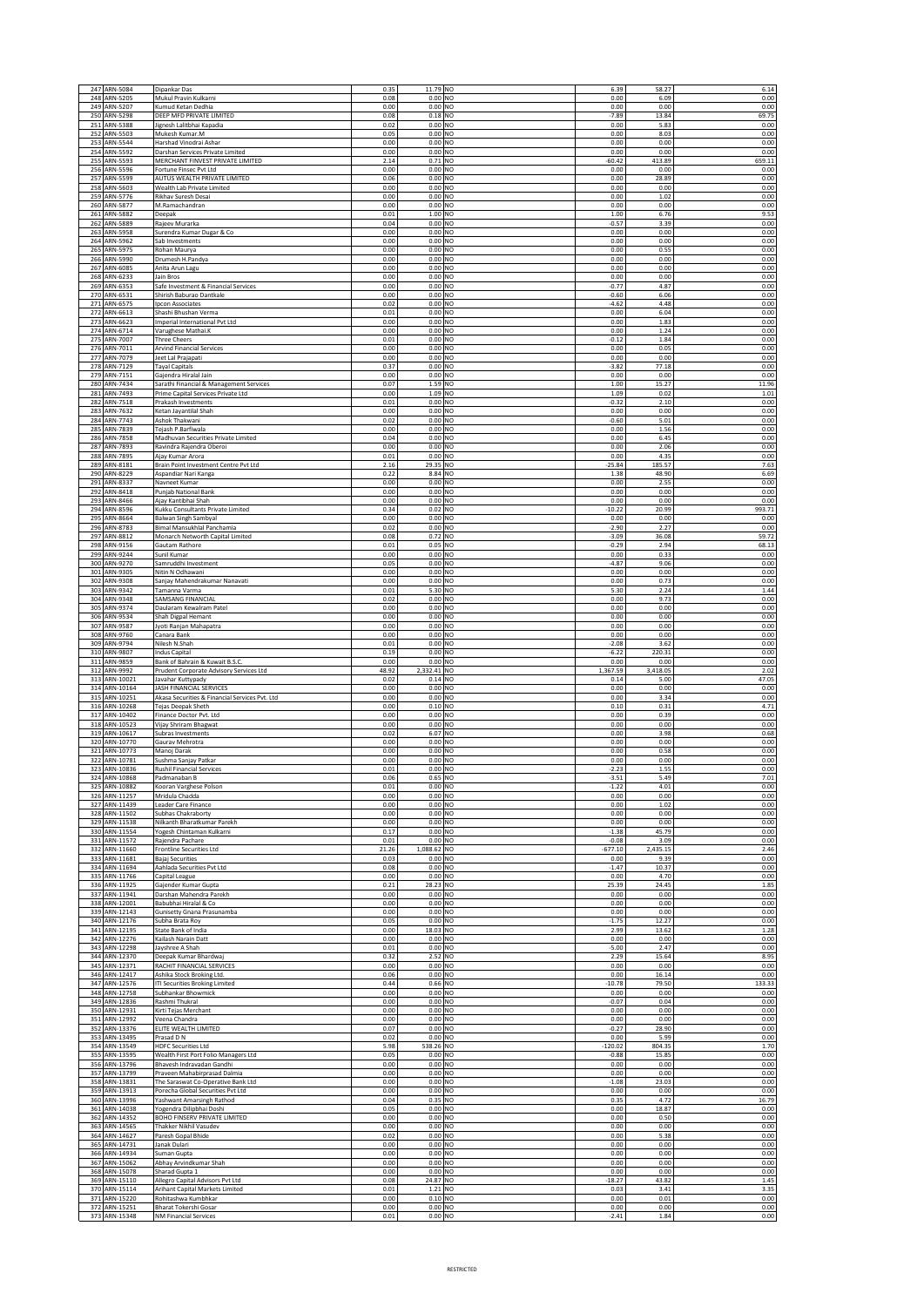| 248        | 247 ARN-5084               | Dipankar Das                                                   | 0.35         | 11.79 NO               | 6.39               | 58.27         | 6.14          |
|------------|----------------------------|----------------------------------------------------------------|--------------|------------------------|--------------------|---------------|---------------|
| 249        | ARN-5205                   | Mukul Pravin Kulkarni                                          | 0.08         | 0.00 NO                | 0.00               | 6.09          | 0.00          |
|            | ARN-5207                   | Kumud Ketan Dedhia                                             | 0.00         | 0.00 NO                | 0.00               | 0.00          | 0.00          |
| 250        | ARN-5298                   | DEEP MFD PRIVATE LIMITED                                       | 0.08         | $0.18$ NO              | $-7.89$            | 13.84         | 69.75         |
| 251        | ARN-5388                   | Jignesh Lalitbhai Kapadia                                      | 0.02         | 0.00 NO                | 0.00               | 5.83          | 0.00          |
| 252        | ARN-5503                   | Mukesh Kumar.M                                                 | 0.05         | 0.00 NO                | 0.00               | 8.03          | 0.00          |
| 253        | ARN-5544                   | Harshad Vinodrai Ashar                                         | 0.00         | 0.00 NO                | 0.00               | 0.00          | 0.00          |
| 254        | ARN-5592                   | Darshan Services Private Limited                               | 0.00         | $0.00$ NO              | 0.00               | 0.00          | 0.00          |
| 255        | ARN-5593                   | MERCHANT FINVEST PRIVATE LIMITED                               | 2.14         | $0.71$ NO              | $-60.42$           | 413.89        | 659.11        |
| 256        | ARN-5596                   | Fortune Finsec Pvt Ltd                                         | 0.00         | 0.00 NO                | 0.00               | 0.00          | 0.00          |
| 257        | ARN-5599                   | AUTUS WEALTH PRIVATE LIMITED                                   | 0.06         | 0.00 NO                | 0.00               | 28.89         | 0.00          |
| 258<br>259 | ARN-5603<br>ARN-5776       | Wealth Lab Private Limited<br>Rikhav Suresh Desai              | 0.00<br>0.00 | 0.00 NO<br>$0.00$ NO   | 0.00               | 0.00          | 0.00          |
|            | 260 ARN-5877               | M.Ramachandran                                                 | 0.00         | 0.00 NO                | 0.00<br>0.00       | 1.02<br>0.00  | 0.00<br>0.00  |
| 261        | ARN-5882                   | Deepak                                                         | 0.01         | 1.00 NO                | 1.00               | 6.76          | 9.53          |
| 262        | ARN-5889                   | Rajeev Murarka                                                 | 0.04         | 0.00 NO                | $-0.57$            | 3.39          | 0.00          |
| 263        | ARN-5958                   | Surendra Kumar Dugar & Co                                      | 0.00         | 0.00 NO                | 0.00               | 0.00          | 0.00          |
| 264        | ARN-5962                   | Sab Investments                                                | 0.00         | 0.00 NO                | 0.00               | 0.00          | 0.00          |
| 265        | ARN-5975                   | Rohan Maurya                                                   | 0.00         | 0.00 NO                | 0.00               | 0.55          | 0.00          |
| 266        | ARN-5990                   | Drumesh H.Pandya                                               | 0.00         | 0.00 NO                | 0.00               | 0.00          | 0.00          |
| 267        | ARN-6085                   | Anita Arun Lagu                                                | 0.00         | 0.00 NO                | 0.00               | 0.00          | 0.00          |
| 268        | ARN-6233                   | Jain Bros                                                      | 0.00         | $0.00$ NO              | 0.00               | 0.00          | 0.00          |
| 269        | ARN-6353                   | Safe Investment & Financial Services                           | 0.00         | 0.00 NO                | $-0.77$            | 4.87          | 0.00          |
| 270        | ARN-6531                   | Shirish Baburao Dantkale                                       | 0.00         | 0.00 NO                | $-0.60$            | 6.06          | 0.00          |
| 271        | ARN-6575                   | Ipcon Associates                                               | 0.02         | 0.00 NO                | $-4.62$            | 4.48          | 0.00          |
| 272        | ARN-6613                   | Shashi Bhushan Verma                                           | 0.01         | 0.00 NO                | 0.00               | 6.04          | 0.00          |
| 273        | ARN-6623                   | Imperial International Pvt Ltd                                 | 0.00         | 0.00 NO                | 0.00               | 1.83          | 0.00          |
| 274        | ARN-6714                   | Varughese Mathai.K                                             | 0.00         | 0.00 NO                | 0.00               | 1.24          | 0.00          |
| 275        | ARN-7007                   | <b>Three Cheers</b>                                            | 0.01         | $0.00$ NO              | $-0.12$            | 1.84          | 0.00          |
| 276        | ARN-7011                   | <b>Arvind Financial Services</b>                               | 0.00         | 0.00 NO                | 0.00               | 0.05          | 0.00          |
| 277        | ARN-7079                   | Jeet Lal Prajapati                                             | 0.00         | $0.00$ NO              | 0.00               | 0.00          | 0.00          |
| 278        | ARN-7129                   | <b>Tayal Capitals</b>                                          | 0.37         | $0.00$ NO              | $-3.82$            | 77.18         | 0.00          |
| 279        | ARN-7151                   | Gajendra Hiralal Jain                                          | 0.00         | 0.00 NO                | 0.00               | 0.00          | 0.00          |
| 280        | ARN-7434                   | Sarathi Financial & Management Services                        | 0.07         | 1.59 NO                | 1.00               | 15.27         | 11.96         |
| 281        | ARN-7493                   | Prime Capital Services Private Ltd                             | 0.00         | 1.09 NO                | 1.09               | 0.02          | 1.01          |
| 282        | ARN-7518                   | Prakash Investments                                            | 0.01         | 0.00 NO                | $-0.32$            | 2.10          | 0.00          |
| 283        | ARN-7632                   | Ketan Jayantilal Shah                                          | 0.00         | 0.00 NO                | 0.00               | 0.00          | 0.00          |
| 284        | ARN-7743                   | Ashok Thakwani                                                 | 0.02         | $0.00$ NO              | $-0.60$            | 5.01          | 0.00          |
| 285        | ARN-7839                   | Tejash P.Barfiwala                                             | 0.00         | 0.00 NO                | 0.00               | 1.56          | 0.00          |
| 286        | ARN-7858                   | Madhuvan Securities Private Limited                            | 0.04         | 0.00 NO                | 0.00               | 6.45          | 0.00          |
| 287        | ARN-7893                   | Ravindra Rajendra Oberoi                                       | 0.00         | 0.00 NO                | 0.00               | 2.06          | 0.00          |
| 288        | ARN-7895                   | Ajay Kumar Arora                                               | 0.01         | $0.00$ NO              | 0.00               | 4.35          | 0.00          |
| 289        | ARN-8181                   | Brain Point Investment Centre Pvt Ltd                          | 2.16         | 29.35 NO               | $-25.84$           | 185.57        | 7.63          |
| 290        | ARN-8229                   | Aspandiar Nari Kanga                                           | 0.22         | 8.84 NO                | 1.38               | 48.90         | 6.69          |
| 291        | ARN-8337                   | Navneet Kumar                                                  | 0.00         | 0.00 NO                | 0.00               | 2.55          | 0.00          |
| 292        | ARN-8418                   | Punjab National Bank                                           | 0.00         | 0.00 NO                | 0.00               | 0.00          | 0.00          |
| 293        | ARN-8466                   | Ajay Kantibhai Shah                                            | 0.00         | $0.00$ NO              | 0.00               | 0.00          | 0.00          |
| 294        | ARN-8596                   | Kukku Consultants Private Limited                              | 0.34         | 0.02 NO                | $-10.22$           | 20.99         | 993.71        |
| 295<br>296 | ARN-8664<br>ARN-8783       | <b>Balwan Singh Sambyal</b>                                    | 0.00         | $0.00$ NO              | 0.00               | 0.00          | 0.00          |
| 297        | ARN-8812                   | Bimal Mansukhlal Panchamia<br>Monarch Networth Capital Limited | 0.02<br>0.08 | 0.00 NO<br>0.72 NO     | $-2.90$<br>$-3.09$ | 2.27<br>36.08 | 0.00<br>59.72 |
| 298        | ARN-9156                   | Gautam Rathore                                                 | 0.01         | 0.05 NO                | $-0.29$            | 2.94          | 68.13         |
| 299        | ARN-9244                   | Sunil Kumar                                                    | 0.00         | 0.00 NO                | 0.00               | 0.33          | 0.00          |
| 300        | ARN-9270                   | Samruddhi Investment                                           | 0.05         | $0.00$ NO              | $-4.87$            | 9.06          | 0.00          |
| 301        | ARN-9305                   | Nitin N Odhawani                                               | 0.00         | $0.00$ NO              | 0.00               | 0.00          |               |
| 302        | ARN-9308                   | Sanjay Mahendrakumar Nanavati                                  | 0.00         | $0.00$ NO              | 0.00               | 0.73          | 0.00<br>0.00  |
| 303        | ARN-9342                   | Tamanna Varma                                                  | 0.01         | 5.30 NO                | 5.30               | 2.24          | 1.44          |
| 304        | ARN-9348                   | SAMSANG FINANCIAL                                              | 0.02         | $0.00$ NO              | 0.00               | 9.73          | 0.00          |
| 305        | ARN-9374                   | Daularam Kewalram Patel                                        | 0.00         | 0.00 NO                | 0.00               | 0.00          | 0.00          |
| 306        | ARN-9534                   | Shah Digpal Hemant                                             | 0.00         | $0.00$ NO              | 0.00               | 0.00          | 0.00          |
| 307        | ARN-9587                   | Jyoti Ranjan Mahapatra                                         | 0.00         | 0.00 NO                | 0.00               | 0.00          | 0.00          |
| 308        | ARN-9760                   | Canara Bank                                                    | 0.00         | 0.00 NO                | 0.00               | 0.00          | 0.00          |
| 309        | ARN-9794                   | Nilesh N.Shah                                                  | 0.01         | $0.00$ NO              | $-2.08$            | 3.62          | 0.00          |
|            | 310 ARN-9807               | <b>Indus Capital</b>                                           | 0.19         | 0.00 NO                | $-6.22$            | 220.31        | 0.00          |
| 311        | ARN-9859                   | Bank of Bahrain & Kuwait B.S.C.                                | 0.00         | 0.00 NO                | 0.00               | 0.00          | 0.00          |
| 312        | ARN-9992                   | Prudent Corporate Advisory Services Ltd                        | 48.92        | 2,332.41 NO            | 1,367.59           | 3,418.05      | 2.02          |
| 313        | ARN-10021                  | Javahar Kuttypady                                              | 0.02         | 0.14 NO                | 0.14               | 5.00          | 47.05         |
| 314        | ARN-10164                  | JASH FINANCIAL SERVICES                                        | 0.00         | 0.00 NO                | 0.00               | 0.00          | 0.00          |
| 315        | ARN-10251                  | Akasa Securities & Financial Services Pvt. Ltd                 | 0.00         | 0.00 NO                | 0.00               | 3.34          | 0.00          |
| 316        | ARN-10268                  | Tejas Deepak Sheth                                             | 0.00         | 0.10 NO                | 0.10               | 0.31          | 4.71          |
| 317        | ARN-10402                  | Finance Doctor Pvt. Ltd                                        | 0.00         | 0.00 NO                | 0.00               | 0.39          | 0.00          |
| 318        | ARN-10523                  | Vijay Shriram Bhagwat                                          | 0.00         | $0.00$ NO              | 0.00               | 0.00          | 0.00          |
| 319        | ARN-10617                  | Subras Investments                                             | 0.02         | 6.07 NO                | 0.00               | 3.98          | 0.68          |
| 320        | ARN-10770                  | Gaurav Mehrotra                                                | 0.00         | 0.00 NO<br>$0.00$ NO   | 0.00               | 0.00          | 0.00          |
| 321        | ARN-10773                  | Manoj Darak                                                    | 0.00         | $0.00$ NO              | 0.00               | 0.58          | 0.00          |
| 322        | ARN-10781                  | Sushma Sanjay Patkar                                           | 0.00         |                        | 0.00               | 0.00          | 0.00          |
| 323        | ARN-10836                  | <b>Rushil Financial Services</b>                               | 0.01         | 0.00 NO                | $-2.23$            | 1.55          | 0.00          |
|            | 324 ARN-10868              | Padmanaban B                                                   | 0.06         | 0.65 NO                | $-3.51$            | 5.49          | 7.01          |
|            | 325 ARN-10882              | Kooran Varghese Polson                                         | 0.01         | $0.00$ NO<br>$0.00$ NO | $-1.22$            | 4.01          | 0.00          |
| 327        | 326 ARN-11257<br>ARN-11439 | Mridula Chadda<br>Leader Care Finance                          | 0.00<br>0.00 | $0.00$ NO              | 0.00<br>0.00       | 0.00<br>1.02  | 0.00<br>0.00  |
| 328        | ARN-11502                  | Subhas Chakraborty                                             | 0.00         | $0.00$ NO              | 0.00               | 0.00          | 0.00          |
| 329        | ARN-11538                  | Nilkanth Bharatkumar Parekh                                    | 0.00         | $0.00$ NO              | 0.00               | 0.00          | 0.00          |
| 330        | ARN-11554                  | Yogesh Chintaman Kulkarni                                      | 0.17         | $0.00$ NO              | $-1.38$            | 45.79         | 0.00          |
| 331        | ARN-11572                  | Rajendra Pachare                                               | 0.01         | $0.00$ NO              | $-0.08$            | 3.09          | 0.00          |
| 332        | ARN-11660                  | Frontline Securities Ltd                                       | 21.26        | 1,088.62 NO            | $-677.10$          | 2,435.15      | 2.46          |
| 333        | ARN-11681                  | <b>Bajaj Securities</b>                                        | 0.03         | $0.00$ NO              | 0.00               | 9.39          | 0.00          |
|            | 334 ARN-11694              | Aahlada Securities Pvt Ltd                                     | 0.08         | $0.00$ NO              | $-1.47$            | 10.37         | 0.00          |
| 335        | ARN-11766                  | Capital League                                                 | 0.00         | $0.00$ NO              | 0.00               | 4.70          | 0.00          |
| 336        | ARN-11925                  | Gajender Kumar Gupta                                           | 0.21         | 28.23 NO               | 25.39              | 24.45         | 1.85          |
| 337        | ARN-11941                  | Darshan Mahendra Parekh                                        | 0.00         | $0.00$ NO              | 0.00               | 0.00          | 0.00          |
| 338        | ARN-12001                  | Babubhai Hiralal & Co                                          | 0.00         | $0.00$ NO              | 0.00               | 0.00          | 0.00          |
| 339        | ARN-12143                  | Gunisetty Gnana Prasunamba                                     | 0.00         | $0.00$ NO              | 0.00               | 0.00          | 0.00          |
| 340        | ARN-12176                  | Subha Brata Roy                                                | 0.05         | $0.00$ NO              | $-1.75$            | 12.27         | 0.00          |
| 341        | ARN-12195                  | State Bank of India                                            | 0.00         | 18.03 NO               | 2.99               | 13.62         | 1.28          |
| 342        | ARN-12276                  | Kailash Narain Datt                                            | 0.00         | $0.00$ NO              | 0.00               | 0.00          | 0.00          |
| 343        | ARN-12298                  | Jayshree A Shah                                                | 0.01         | $0.00$ NO              | $-5.00$            | 2.47          | 0.00          |
| 344        | ARN-12370                  | Deepak Kumar Bhardwaj                                          | 0.32         | 2.52 NO                | 2.29               | 15.64         | 8.95          |
| 345        | ARN-12371                  | RACHIT FINANCIAL SERVICES                                      | 0.00         | $0.00$ NO              | 0.00               | 0.00          | 0.00          |
| 346        | ARN-12417                  | Ashika Stock Broking Ltd.                                      | 0.06         | $0.00$ NO              | 0.00               | 16.14         | 0.00          |
| 347        | ARN-12576                  | <b>ITI Securities Broking Limited</b>                          | 0.44         | 0.66 NO                | $-10.78$           | 79.50         | 133.33        |
| 348        | ARN-12758                  | Subhankar Bhowmick                                             | 0.00         | $0.00$ NO              | 0.00               | 0.00          | 0.00          |
| 349        | ARN-12836                  | Rashmi Thukral                                                 | 0.00         | $0.00$ NO              | $-0.07$            | 0.04          | 0.00          |
| 350        | ARN-12931                  | Kirti Tejas Merchant                                           | 0.00         | $0.00$ NO              | 0.00               | 0.00          | 0.00          |
| 351        | ARN-12992                  | Veena Chandra                                                  | 0.00         | $0.00$ NO              | 0.00               | 0.00          | 0.00          |
| 352        | ARN-13376                  | ELITE WEALTH LIMITED                                           | 0.07         | $0.00$ NO              | $-0.27$            | 28.90         | 0.00          |
| 353        | ARN-13495                  | Prasad D N                                                     | 0.02         | $0.00$ NO              | 0.00               | 5.99          | 0.00          |
| 354        | ARN-13549                  | <b>HDFC Securities Ltd</b>                                     | 5.98         | 538.26 NO              | 120.02             | 804.35        | 1.70          |
| 355        | ARN-13595                  | Wealth First Port Folio Managers Ltd                           | 0.05         | $0.00$ NO              | $-0.88$            | 15.85         | 0.00          |
| 356        | ARN-13796                  | Bhavesh Indravadan Gandhi                                      | 0.00         | $0.00$ NO              | 0.00               | 0.00          | 0.00          |
| 357        | ARN-13799                  | Praveen Mahabirprasad Dalmia                                   | 0.00         | 0.00 NO                | 0.00               | 0.00          | 0.00          |
| 358        | ARN-13831                  | The Saraswat Co-Operative Bank Ltd                             | 0.00         | $0.00$ NO              | $-1.08$            | 23.03         | 0.00          |
| 359        | ARN-13913                  | Porecha Global Securities Pvt Ltd                              | 0.00         | $0.00$ NO              | 0.00               | 0.00          | 0.00          |
|            | 360 ARN-13996              | Yashwant Amarsingh Rathod                                      | 0.04         | 0.35 NO                | 0.35               | 4.72          | 16.79         |
| 362        | 361 ARN-14038              | Yogendra Dilipbhai Doshi                                       | 0.05         | $0.00$ NO              | 0.00               | 18.87         | 0.00          |
|            | ARN-14352                  | BOHO FINSERV PRIVATE LIMITED                                   | 0.00         | $0.00$ NO              | 0.00               | 0.50          | 0.00          |
| 363        | ARN-14565                  | Thakker Nikhil Vasudev                                         | 0.00         | $0.00$ NO              | 0.00               | 0.00          | 0.00          |
| 364        | ARN-14627                  | Paresh Gopal Bhide                                             | 0.02         | $0.00$ NO              | 0.00               | 5.38          | 0.00          |
| 365        | ARN-14731                  | Janak Dulari                                                   | 0.00         | $0.00$ NO              | 0.00               | 0.00          | 0.00          |
| 366        | ARN-14934                  | Suman Gupta                                                    | 0.00         | $0.00$ NO              | 0.00               | 0.00          | 0.00          |
| 367        | ARN-15062                  | Abhay Arvindkumar Shah                                         | 0.00         | $0.00$ NO              | 0.00               | 0.00          | 0.00          |
| 368        | ARN-15078                  | Sharad Gupta 1                                                 | 0.00         | $0.00$ NO              | 0.00               | 0.00          | 0.00          |
| 369        | ARN-15110                  | Allegro Capital Advisors Pvt Ltd                               | 0.08         | 24.87 NO               | $-18.27$           | 43.82         | 1.45          |
| 370        | ARN-15114                  | Arihant Capital Markets Limited                                | 0.01         | 1.21 NO                | 0.03               | 3.41          | 3.35          |
| 371        | ARN-15220                  | Rohitashwa Kumbhkar                                            | 0.00         | $0.10$ NO              | 0.00               | 0.01          | 0.00          |
|            | 372 ARN-15251              | Bharat Tokershi Gosar                                          | 0.00         | $0.00$ NO              | 0.00               | 0.00          | 0.00          |
|            | 373 ARN-15348              | <b>NM Financial Services</b>                                   | 0.01         | 0.00 NO                | $-2.41$            | 1.84          | 0.00          |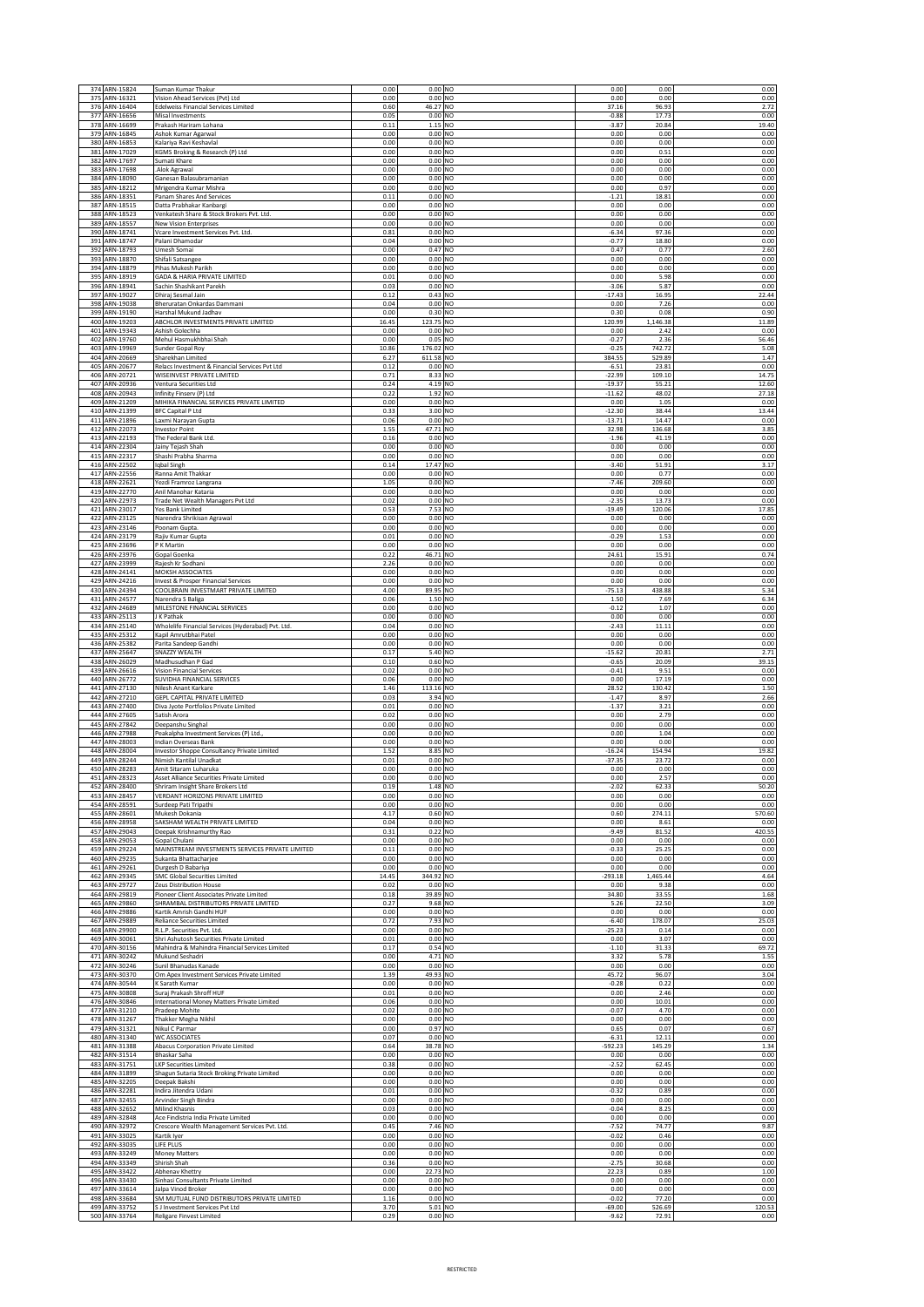|            | 374 ARN-15824                  | Suman Kumar Thakur                                                         | 0.00          | $0.00$ NO                         | 0.00               | 0.00             | 0.00           |
|------------|--------------------------------|----------------------------------------------------------------------------|---------------|-----------------------------------|--------------------|------------------|----------------|
| 375        | ARN-16321                      | Vision Ahead Services (Pvt) Ltd                                            | 0.00          | $0.00$ NO                         | 0.00               | 0.00             | 0.00           |
|            | 376 ARN-16404                  | <b>Edelweiss Financial Services Limited</b>                                | 0.60          | 46.27 NO                          | 37.16              | 96.93            | 2.72           |
| 377        | ARN-16656                      | Misal Investments                                                          | 0.05          | 0.00 NO                           | $-0.88$            | 17.73            | 0.00           |
| 378        | ARN-16699<br>379 ARN-16845     | Prakash Hariram Lohana                                                     | 0.11<br>0.00  | 1.15 NO<br>0.00 NO                | $-3.87$<br>0.00    | 20.84<br>0.00    | 19.40<br>0.00  |
|            | 380 ARN-16853                  | Ashok Kumar Agarwal<br>Kalariya Ravi Keshavlal                             | 0.00          | 0.00 NO                           | 0.00               | 0.00             | 0.00           |
| 381        | ARN-17029                      | KGMS Broking & Research (P) Ltd                                            | 0.00          | $0.00$ NO                         | 0.00               | 0.51             | 0.00           |
| 382        | ARN-17697                      | Sumati Khare                                                               | 0.00          | 0.00 NO                           | 0.00               | 0.00             | 0.00           |
| 383        | ARN-17698                      | Alok Agrawal                                                               | 0.00          | 0.00 NO                           | 0.00               | 0.00             | 0.00           |
| 384        | ARN-18090                      | Ganesan Balasubramanian                                                    | 0.00          | $0.00$ NO                         | 0.00               | 0.00             | 0.00           |
| 385        | ARN-18212                      | Mrigendra Kumar Mishra                                                     | 0.00          | $0.00$ NO                         | 0.00               | 0.97             | 0.00           |
| 386        | ARN-18351                      | Panam Shares And Services                                                  | 0.11          | 0.00 NO                           | $-1.21$            | 18.81            | 0.00           |
| 387        | ARN-18515                      | Datta Prabhakar Kanbargi                                                   | 0.00          | 0.00 NO<br>$0.00$ NO              | 0.00               | 0.00             | 0.00           |
|            | 388 ARN-18523<br>389 ARN-18557 | Venkatesh Share & Stock Brokers Pvt. Ltd.<br><b>New Vision Enterprises</b> | 0.00<br>0.00  | 0.00 NO                           | 0.00<br>0.00       | 0.00<br>0.00     | 0.00<br>0.00   |
| 390        | ARN-18741                      | Vcare Investment Services Pvt. Ltd.                                        | 0.81          | 0.00 NO                           | $-6.34$            | 97.36            | 0.00           |
| 391        | ARN-18747                      | Palani Dhamodar                                                            | 0.04          | $0.00$ NO                         | $-0.77$            | 18.80            | 0.00           |
| 392        | ARN-18793                      | Umesh Somai                                                                | 0.00          | 0.47 NO                           | 0.47               | 0.77             | 2.60           |
| 393        | ARN-18870                      | Shifali Satsangee                                                          | 0.00          | 0.00 NO                           | 0.00               | 0.00             | 0.00           |
| 394        | ARN-18879                      | Pihas Mukesh Parikh<br>GADA & HARIA PRIVATE LIMITED                        | 0.00          | $0.00$ NO                         | 0.00               | 0.00             | 0.00           |
| 395<br>396 | ARN-18919<br>ARN-18941         | Sachin Shashikant Parekh                                                   | 0.01<br>0.03  | 0.00 NO<br>$0.00$ NO              | 0.00<br>$-3.06$    | 5.98<br>5.87     | 0.00<br>0.00   |
| 397        | ARN-19027                      | Dhiraj Sesmal Jain                                                         | 0.12          | 0.43 NO                           | $-17.43$           | 16.95            | 22.44          |
| 398        | ARN-19038                      | Bheruratan Onkardas Dammani                                                | 0.04          | 0.00 NO                           | 0.00               | 7.26             | 0.00           |
| 399        | ARN-19190                      | Harshal Mukund Jadhav                                                      | 0.00          | 0.30 NO                           | 0.30               | 0.08             | 0.90           |
| 400        | ARN-19203                      | ABCHLOR INVESTMENTS PRIVATE LIMITED                                        | 16.45         | 123.75 NO                         | 120.99             | 1,146.38         | 11.89          |
|            | 401 ARN-19343                  | Ashish Golechha                                                            | 0.00          | 0.00 NO                           | 0.00               | 2.42             | 0.00           |
| 402        | ARN-19760                      | Mehul Hasmukhbhai Shah                                                     | 0.00          | 0.05 NO                           | $-0.27$            | 2.36             | 56.46          |
| 403        | ARN-19969<br>404 ARN-20669     | Sunder Gopal Roy<br>Sharekhan Limited                                      | 10.86<br>6.27 | 176.02 NO<br>611.58 NO            | $-0.25$<br>384.55  | 742.72<br>529.89 | 5.08<br>1.47   |
|            | 405 ARN-20677                  | Relacs Investment & Financial Services Pvt Ltd                             | 0.12          | 0.00 NO                           | $-6.51$            | 23.81            | 0.00           |
| 406        | ARN-20721                      | WISEINVEST PRIVATE LIMITED                                                 | 0.71          | 8.33 NO                           | $-22.99$           | 109.10           | 14.75          |
| 407        | ARN-20936                      | Ventura Securities Ltd                                                     | 0.24          | 4.19 NO                           | $-19.37$           | 55.21            | 12.60          |
| 408        | ARN-20943                      | Infinity Finserv (P) Ltd                                                   | 0.22          | 1.92 NO                           | $-11.62$           | 48.02            | 27.18          |
| 409        | ARN-21209                      | MIHIKA FINANCIAL SERVICES PRIVATE LIMITED                                  | 0.00          | $0.00$ NO                         | 0.00               | 1.05             | 0.00           |
| 410        | ARN-21399                      | <b>BFC Capital P Ltd</b>                                                   | 0.33          | 3.00 NO                           | $-12.30$           | 38.44            | 13.44          |
| 411        | ARN-21896                      | Laxmi Narayan Gupta                                                        | 0.06          | 0.00 NO<br>47.71 NO               | $-13.71$           | 14.47            | 0.00           |
| 412<br>413 | ARN-22073<br>ARN-22193         | <b>Investor Point</b><br>The Federal Bank Ltd.                             | 1.55<br>0.16  | 0.00 NO                           | 32.98<br>$-1.96$   | 136.68<br>41.19  | 3.85<br>0.00   |
|            | 414 ARN-22304                  | Jainy Tejash Shah                                                          | 0.00          | 0.00 NO                           | 0.00               | 0.00             | 0.00           |
| 415        | ARN-22317                      | Shashi Prabha Sharma                                                       | 0.00          | 0.00 NO                           | 0.00               | 0.00             | 0.00           |
| 416        | ARN-22502                      | Iqbal Singh                                                                | 0.14          | 17.47 NO                          | $-3.40$            | 51.91            | 3.17           |
| 417        | ARN-22556                      | Ranna Amit Thakkar                                                         | 0.00          | $0.00$ NO                         | 0.00               | 0.77             | 0.00           |
| 418        | ARN-22621                      | Yezdi Framroz Langrana                                                     | 1.05          | 0.00 NO                           | $-7.46$            | 209.60           | 0.00           |
| 419        | ARN-22770                      | Anil Manohar Kataria                                                       | 0.00          | $0.00$ NO                         | 0.00               | 0.00             | 0.00           |
|            | 420 ARN-22973                  | Trade Net Wealth Managers Pvt Ltd                                          | 0.02          | 0.00 NO                           | $-2.35$            | 13.73            | 0.00           |
| 421<br>422 | ARN-23017<br>ARN-23125         | Yes Bank Limited<br>Narendra Shrikisan Agrawal                             | 0.53<br>0.00  | 7.53 NO<br>0.00 NO                | $-19.49$<br>0.00   | 120.06<br>0.00   | 17.85<br>0.00  |
| 423        | ARN-23146                      | Poonam Gupta.                                                              | 0.00          | 0.00 NO                           | 0.00               | 0.00             | 0.00           |
|            | 424 ARN-23179                  | Rajiv Kumar Gupta                                                          | 0.01          | 0.00 NO                           | $-0.29$            | 1.53             | 0.00           |
| 425        | ARN-23696                      | P K Martin                                                                 | 0.00          | $0.00$ NO                         | 0.00               | 0.00             | 0.00           |
|            | 426 ARN-23976                  | Gopal Goenka                                                               | 0.22          | 46.71 NO                          | 24.61              | 15.91            | 0.74           |
| 427        | ARN-23999                      | Rajesh Kr Sodhani                                                          | 2.26          | 0.00 NO                           | 0.00               | 0.00             | 0.00           |
| 428        | ARN-24141                      | MOKSH ASSOCIATES                                                           | 0.00          | 0.00 NO                           | 0.00               | 0.00             | 0.00           |
|            | 429 ARN-24216                  | Invest & Prosper Financial Services                                        | 0.00          | 0.00 NO                           | 0.00               | 0.00             | 0.00           |
| 431        | 430 ARN-24394<br>ARN-24577     | COOLBRAIN INVESTMART PRIVATE LIMITED<br>Narendra S Baliga                  | 4.00<br>0.06  | 89.95 NO<br>1.50 NO               | $-75.13$<br>1.50   | 438.88<br>7.69   | 5.34<br>6.34   |
| 432        | ARN-24689                      | MILESTONE FINANCIAL SERVICES                                               | 0.00          | 0.00 NO                           | $-0.12$            | 1.07             | 0.00           |
|            | 433 ARN-25113                  | J K Pathak                                                                 | 0.00          | 0.00 NO                           | 0.00               | 0.00             | 0.00           |
| 434        | ARN-25140                      | Wholelife Financial Services (Hyderabad) Pvt. Ltd.                         | 0.04          | $0.00$ NO                         | $-2.43$            | 11.11            | 0.00           |
| 435        | ARN-25312                      | Kapil Amrutbhai Patel                                                      | 0.00          | $0.00$ NO                         | 0.00               | 0.00             | 0.00           |
| 436        | ARN-25382                      | Parita Sandeep Gandhi                                                      | 0.00          | 0.00 NO                           | 0.00               | 0.00             | 0.00           |
| 437        | ARN-25647                      | SNAZZY WEALTH                                                              | 0.17          | 5.40 NO                           | $-15.62$           | 20.81            | 2.71           |
| 438        | ARN-26029<br>439 ARN-26616     | Madhusudhan P Gad<br>Vision Financial Services                             | 0.10<br>0.02  | 0.60 NO<br>0.00 NO                | $-0.65$<br>$-0.41$ | 20.09<br>9.51    | 39.15<br>0.00  |
|            | 440 ARN-26772                  | SUVIDHA FINANCIAL SERVICES                                                 | 0.06          | 0.00 NO                           | 0.00               | 17.19            | 0.00           |
| 441        | ARN-27130                      | Nilesh Anant Karkare                                                       | 1.46          | 113.16 NO                         | 28.52              | 130.42           | 1.50           |
| 442        | ARN-27210                      | GEPL CAPITAL PRIVATE LIMITED                                               | 0.03          | 3.94 NO                           | $-1.47$            | 8.97             | 2.66           |
| 443        | ARN-27400                      | Diva Jyote Portfolios Private Limited                                      | 0.01          | 0.00 NO                           | $-1.37$            | 3.21             | 0.00           |
| 444        | ARN-27605                      | Satish Arora                                                               | 0.02          | 0.00 NO                           | 0.00               | 2.79             | 0.00           |
| 445        | ARN-27842                      | Deepanshu Singhal                                                          | 0.00          | 0.00 NO                           | 0.00               | 0.00             | 0.00           |
|            | 446 ARN-27988                  | Peakalpha Investment Services (P) Ltd.                                     | 0.00          | 0.00 NO                           | 0.00               | 1.04             | 0.00           |
| 447<br>448 | ARN-28003<br>ARN-28004         | Indian Overseas Bank<br>Investor Shoppe Consultancy Private Limited        | 0.00<br>1.52  | 0.00 NO<br>8.85<br>N <sub>O</sub> | 0.00<br>16.24      | 0.00<br>154.94   | 0.00<br>19.82  |
| 449        | ARN-28244                      | Nimish Kantilal Unadkat                                                    | 0.01          | 0.00 NO                           | $-37.35$           | 23.72            | 0.00           |
| 450        | ARN-28283                      | Amit Sitaram Luharuka                                                      | 0.00          | $0.00$ NO                         | 0.00               | 0.00             | 0.00           |
|            | 451 ARN-28323                  | Asset Alliance Securities Private Limited                                  | 0.00          | 0.00 NO                           | 0.00               | 2.57             | 0.00           |
|            | 452 ARN-28400                  | Shriram Insight Share Brokers Ltd                                          | 0.19          | 1.48 NO                           | $-2.02$            | 62.33            | 50.20          |
| 453        | ARN-28457                      | VERDANT HORIZONS PRIVATE LIMITED                                           | 0.00          | $0.00$ NO                         | 0.00               | 0.00             | 0.00           |
|            | 454 ARN-28591                  | Surdeep Pati Tripathi                                                      | 0.00          | $0.00$ NO                         | 0.00               | 0.00             | 0.00           |
|            | 455 ARN-28601<br>ARN-28958     | Mukesh Dokania<br>SAKSHAM WEALTH PRIVATE LIMITED                           | 4.17          | $0.60$ NO                         | 0.60               | 274.11           | 570.60         |
| 456<br>457 | ARN-29043                      | Deepak Krishnamurthy Rao                                                   | 0.04<br>0.31  | $0.00$ NO<br>0.22 NO              | 0.00<br>$-9.49$    | 8.61<br>81.52    | 0.00<br>420.55 |
|            | 458 ARN-29053                  | Gopal Chulani                                                              | 0.00          | $0.00$ NO                         | 0.00               | 0.00             | 0.00           |
|            | 459 ARN-29224                  | MAINSTREAM INVESTMENTS SERVICES PRIVATE LIMITED                            | 0.11          | $0.00$ NO                         | $-0.33$            | 25.25            | 0.00           |
| 460        | ARN-29235                      | Sukanta Bhattacharjee                                                      | 0.00          | $0.00$ NO                         | 0.00               | 0.00             | 0.00           |
| 461        | ARN-29261                      | Durgesh D Babariya                                                         | 0.00          | $0.00$ NO                         | 0.00               | 0.00             | 0.00           |
| 462        | ARN-29345                      | SMC Global Securities Limited                                              | 14.45         | 344.92 NO                         | 293.18             | 1,465.44         | 4.64           |
|            | 463 ARN-29727<br>464 ARN-29819 | Zeus Distribution House<br>Pioneer Client Associates Private Limited       | 0.02<br>0.18  | $0.00$ NO<br>39.89 NO             | 0.00<br>34.80      | 9.38<br>33.55    | 0.00<br>1.68   |
|            | 465 ARN-29860                  | SHRAMBAL DISTRIBUTORS PRIVATE LIMITED                                      | 0.27          | 9.68 NO                           | 5.26               | 22.50            | 3.09           |
| 466        | ARN-29886                      | Kartik Amrish Gandhi HUF                                                   | 0.00          | $0.00$ NO                         | 0.00               | 0.00             | 0.00           |
|            | 467 ARN-29889                  | Reliance Securities Limited                                                | 0.72          | 7.93 NO                           | $-6.40$            | 178.07           | 25.03          |
|            | 468 ARN-29900                  | R.L.P. Securities Pvt. Ltd.                                                | 0.00          | $0.00$ NO                         | 25.23              | 0.14             | 0.00           |
| 469        | ARN-30061                      | Shri Ashutosh Securities Private Limited                                   | 0.01          | $0.00$ NO                         | 0.00               | 3.07             | 0.00           |
|            | 470 ARN-30156                  | Mahindra & Mahindra Financial Services Limited                             | 0.17          | 0.54 NO<br>4.71 NO                | $-1.10$            | 31.33            | 69.72          |
| 472        | 471 ARN-30242<br>ARN-30246     | Mukund Seshadri<br>Sunil Bhanudas Kanade                                   | 0.00<br>0.00  | $0.00$ NO                         | 3.32<br>0.00       | 5.78<br>0.00     | 1.55<br>0.00   |
|            | 473 ARN-30370                  | Om Apex Investment Services Private Limited                                | 1.39          | 49.93 NO                          | 45.72              | 96.07            | 3.04           |
|            | 474 ARN-30544                  | K Sarath Kumar                                                             | 0.00          | 0.00 NO                           | $-0.28$            | 0.22             | 0.00           |
| 475        | ARN-30808                      | Suraj Prakash Shroff HUF                                                   | 0.01          | $0.00$ NO                         | 0.00               | 2.46             | 0.00           |
|            | 476 ARN-30846                  | International Money Matters Private Limited                                | 0.06          | $0.00$ NO                         | 0.00               | 10.01            | 0.00           |
| 477        | ARN-31210                      | Pradeep Mohite                                                             | 0.02          | 0.00 NO                           | $-0.07$            | 4.70             | 0.00           |
| 478        | ARN-31267                      | <b>Thakker Megha Nikhil</b>                                                | 0.00          | 0.00 NO                           | 0.00               | 0.00             | 0.00           |
| 479        | ARN-31321<br>480 ARN-31340     | Nikul C Parmar<br><b>WC ASSOCIATES</b>                                     | 0.00<br>0.07  | 0.97 NO<br>$0.00$ NO              | 0.65<br>$-6.31$    | 0.07<br>12.11    | 0.67<br>0.00   |
| 481        | ARN-31388                      | Abacus Corporation Private Limited                                         | 0.64          | 38.78 NO                          | 592.23             | 145.29           | 1.34           |
| 482        | ARN-31514                      | Bhaskar Saha                                                               | 0.00          | $0.00$ NO                         | 0.00               | 0.00             | 0.00           |
| 483        | ARN-31751                      | <b>LKP Securities Limited</b>                                              | 0.38          | $0.00$ NO                         | $-2.52$            | 62.45            | 0.00           |
| 484        | ARN-31899                      | Shagun Sutaria Stock Broking Private Limited                               | 0.00          | $0.00$ NO                         | 0.00               | 0.00             | 0.00           |
| 485        | ARN-32205                      | Deepak Bakshi                                                              | 0.00          | $0.00$ NO                         | 0.00               | 0.00             | 0.00           |
|            | 486 ARN-32281                  | Indira Jitendra Udani                                                      | 0.01          | $0.00$ NO                         | $-0.32$            | 0.89             | 0.00           |
| 487        | ARN-32455                      | Arvinder Singh Bindra                                                      | 0.00          | $0.00$ NO                         | 0.00               | 0.00             | 0.00           |
|            | 488 ARN-32652<br>489 ARN-32848 | Milind Khasnis<br>Ace Findistria India Private Limited                     | 0.03<br>0.00  | $0.00$ NO<br>$0.00$ NO            | $-0.04$<br>0.00    | 8.25<br>0.00     | 0.00<br>0.00   |
|            | 490 ARN-32972                  | Crescore Wealth Management Services Pvt. Ltd.                              | 0.45          | 7.46 NO                           | $-7.52$            | 74.77            | 9.87           |
| 491        | ARN-33025                      | Kartik Iyer                                                                | 0.00          | $0.00$ NO                         | $-0.02$            | 0.46             | 0.00           |
| 492        | ARN-33035                      | LIFE PLUS                                                                  | 0.00          | $0.00$ NO                         | 0.00               | 0.00             | 0.00           |
|            | 493 ARN-33249                  | Money Matters                                                              | 0.00          | $0.00$ NO                         | 0.00               | 0.00             | 0.00           |
| 494        | ARN-33349                      | Shirish Shah                                                               | 0.36          | $0.00$ NO                         | $-2.75$            | 30.68            | 0.00           |
| 495        | ARN-33422                      | Abhenav Khettry                                                            | 0.00          | 22.73 NO                          | 22.23              | 0.89             | 1.00           |
| 496<br>497 | ARN-33430<br>ARN-33614         | Sinhasi Consultants Private Limited<br>Jalpa Vinod Broker                  | 0.00<br>0.00  | $0.00$ NO<br>$0.00$ NO            | 0.00<br>0.00       | 0.00<br>0.00     | 0.00<br>0.00   |
| 498        | ARN-33684                      | SM MUTUAL FUND DISTRIBUTORS PRIVATE LIMITED                                | 1.16          | $0.00$ NO                         | $-0.02$            | 77.20            | 0.00           |
|            | 499 ARN-33752                  | S J Investment Services Pvt Ltd                                            | 3.70          | 5.01 NO                           | $-69.00$           | 526.69           | 120.53         |
|            | 500 ARN-33764                  | <b>Religare Finvest Limited</b>                                            | 0.29          | $0.00$ NO                         | $-9.62$            | 72.91            | 0.00           |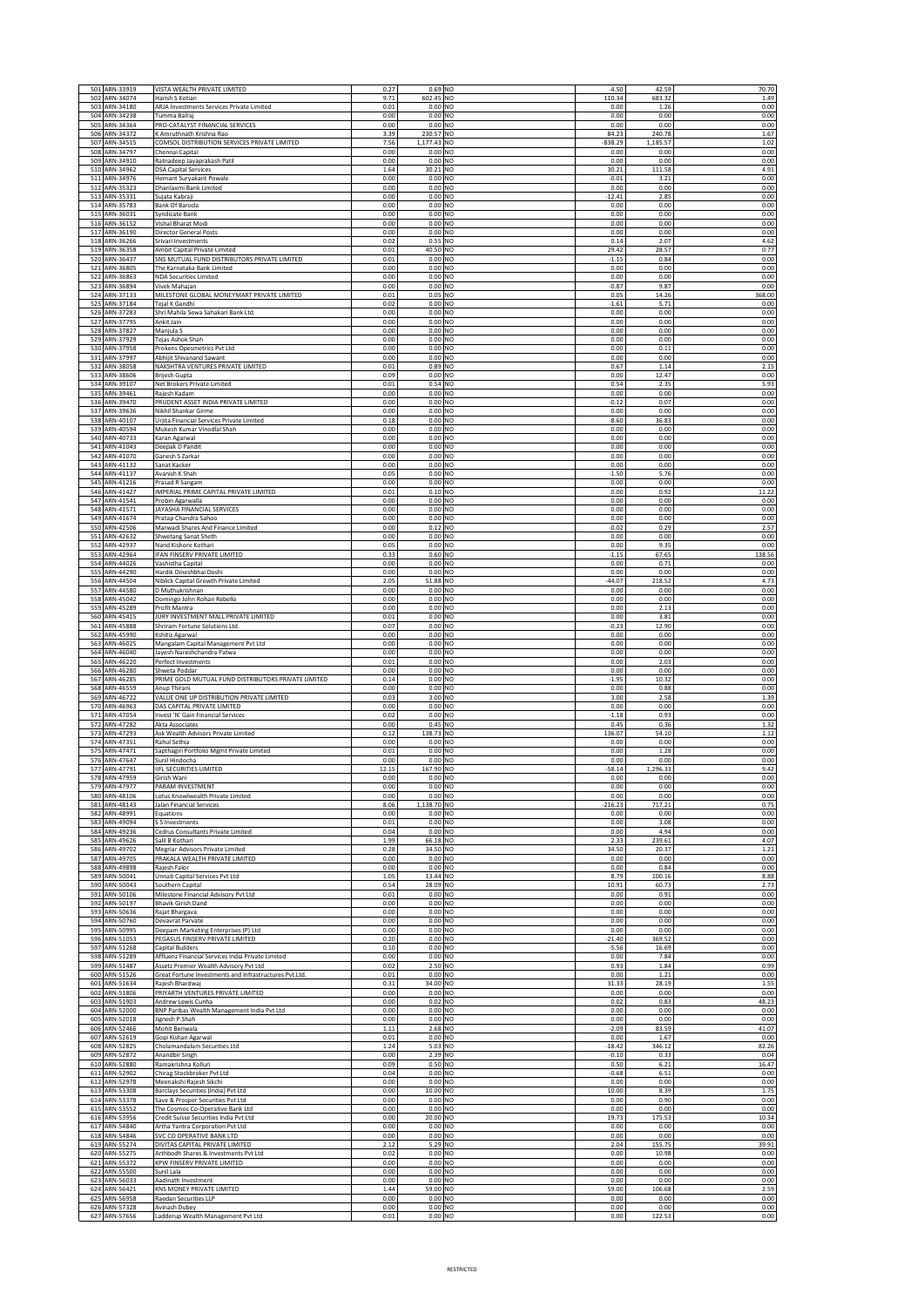|            | 501 ARN-33919                                   | VISTA WEALTH PRIVATE LIMITED                                                                | 0.27          | 0.69 NO                           |           | $-4.50$              | 42.59                  | 70.70                |
|------------|-------------------------------------------------|---------------------------------------------------------------------------------------------|---------------|-----------------------------------|-----------|----------------------|------------------------|----------------------|
| 502        | ARN-34074<br>503 ARN-34180                      | Harish S Kotian<br>ARJA Investments Services Private Limited                                | 9.71<br>0.01  | 602.45 NO<br>$0.00$ NO            |           | 110.34<br>0.00       | 683.32<br>1.26         | 1.49<br>0.00         |
| 504        | ARN-34238                                       | Tumma Balraj                                                                                | 0.00          | 0.00 NO                           |           | 0.00                 | 0.00                   | 0.00                 |
| 505        | ARN-34364                                       | PRO-CATALYST FINANCIAL SERVICES                                                             | 0.00          | 0.00 NO                           |           | 0.00                 | 0.00                   | 0.00                 |
| 507        | 506 ARN-34372<br>ARN-34515                      | K Amruthnath Krishna Rao<br>COMSOL DISTRIBUTION SERVICES PRIVATE LIMITED                    | 3.39<br>7.56  | 230.57 NO<br>1,177.43 NO          |           | 84.23<br>838.29      | 240.78<br>1,185.57     | 1.67<br>1.02         |
| 508        | ARN-34797                                       | Chennai Capital                                                                             | 0.00          | $0.00$ NO                         |           | 0.00                 | 0.00                   | 0.00                 |
|            | 509 ARN-34910<br>510 ARN-34962                  | Ratnadeep Jayaprakash Patil<br><b>DSA Capital Services</b>                                  | 0.00<br>1.64  | 0.00 NO<br>30.21 NO               |           | 0.00<br>30.21        | 0.00<br>111.58         | 0.00<br>4.91         |
|            | 511 ARN-34976                                   | Hemant Suryakant Powale                                                                     | 0.00          | 0.00 NO                           |           | $-0.01$              | 3.21                   | 0.00                 |
|            | 512 ARN-35323<br>513 ARN-35331                  | Dhanlaxmi Bank Limited<br>Sujata Kabraji                                                    | 0.00<br>0.00  | 0.00 NO<br>0.00 NO                |           | 0.00<br>$-12.41$     | 0.00<br>2.85           | 0.00<br>0.00         |
|            | 514 ARN-35783                                   | Bank Of Baroda                                                                              | 0.00          | 0.00 NO                           |           | 0.00                 | 0.00                   | 0.00                 |
|            | 515 ARN-36031<br>516 ARN-36152                  | <b>Syndicate Bank</b><br>Vishal Bharat Modi                                                 | 0.00<br>0.00  | 0.00 NO<br>0.00 NO                |           | 0.00<br>0.00         | 0.00<br>0.00           | 0.00<br>0.00         |
| 517        | ARN-36190                                       | <b>Director General Posts</b>                                                               | 0.00          | 0.00                              | <b>NO</b> | 0.00                 | 0.00                   | 0.00                 |
| 518        | ARN-36266<br>519 ARN-36358                      | Srivari Investments<br>Ambit Capital Private Limited                                        | 0.02<br>0.01  | 0.55<br>40.50 NO                  | <b>NO</b> | 0.14<br>29.42        | 2.07<br>28.57          | 4.62<br>0.77         |
|            | 520 ARN-36437                                   | SNS MUTUAL FUND DISTRIBUTORS PRIVATE LIMITED                                                | 0.01          | $0.00$ NO                         |           | $-1.15$              | 0.84                   | 0.00                 |
| 521        | ARN-36805<br>522 ARN-36863                      | The Karnataka Bank Limited<br><b>NDA Securities Limited</b>                                 | 0.00<br>0.00  | $0.00$ NO<br>$0.00$ NO            |           | 0.00<br>0.00         | 0.00<br>0.00           | 0.00<br>0.00         |
| 523        | ARN-36894                                       | Vivek Mahajan                                                                               | 0.00          | 0.00 NO                           |           | $-0.87$              | 9.87                   | 0.00                 |
| 524        | ARN-37133                                       | MILESTONE GLOBAL MONEYMART PRIVATE LIMITED<br>Tejal K Gandhi                                | 0.01          | 0.05 NO                           |           | 0.05                 | 14.26                  | 368.00               |
|            | 525 ARN-37184<br>526 ARN-37283                  | Shri Mahila Sewa Sahakari Bank Ltd.                                                         | 0.02<br>0.00  | 0.00 NO<br>$0.00$ NO              |           | $-1.61$<br>0.00      | 5.71<br>0.00           | 0.00<br>0.00         |
| 527        | ARN-37795<br>528 ARN-37827                      | Ankit Jain                                                                                  | 0.00<br>0.00  | $0.00$ NO                         |           | 0.00<br>0.00         | 0.00<br>0.00           | 0.00                 |
|            | 529 ARN-37929                                   | Manjula S<br>Tejas Ashok Shah                                                               | 0.00          | 0.00 NO<br>0.00 NO                |           | 0.00                 | 0.00                   | 0.00<br>0.00         |
| 530        | ARN-37958                                       | Prokens Opesmetrics Pvt Ltd                                                                 | 0.00          | $0.00$ NO                         |           | 0.00                 | 0.11                   | 0.00                 |
|            | 531 ARN-37997<br>532 ARN-38058                  | Abhijit Shivanand Sawant<br>NAKSHTRA VENTURES PRIVATE LIMITED                               | 0.00<br>0.01  | 0.00 NO<br>0.89 NO                |           | 0.00<br>0.67         | 0.00<br>1.14           | 0.00<br>2.15         |
| 533        | ARN-38606                                       | <b>Brijesh Gupta</b>                                                                        | 0.09          | 0.00 NO                           |           | 0.00                 | 12.47                  | 0.00                 |
|            | 534 ARN-39107<br>535 ARN-39461                  | Net Brokers Private Limited<br>Rajesh Kadam                                                 | 0.01<br>0.00  | 0.54 NO<br>0.00 NO                |           | 0.54<br>0.00         | 2.35<br>0.00           | 5.93<br>0.00         |
|            | 536 ARN-39470                                   | PRUDENT ASSET INDIA PRIVATE LIMITED                                                         | 0.00          | 0.00 NO                           |           | $-0.12$              | 0.07                   | 0.00                 |
|            | 537 ARN-39636<br>538 ARN-40107                  | Nikhil Shankar Girme<br>Urjita Financial Services Private Limited                           | 0.00<br>0.18  | 0.00 NO<br>0.00 NO                |           | 0.00<br>$-8.60$      | 0.00<br>36.83          | 0.00<br>0.00         |
|            | 539 ARN-40594                                   | Mukesh Kumar Vinodlal Shah                                                                  | 0.00          | 0.00 NO                           |           | 0.00                 | 0.00                   | 0.00                 |
|            | 540 ARN-40733<br>541 ARN-41043                  | Karan Agarwal<br>Deepak D Pandit                                                            | 0.00<br>0.00  | $0.00$ NO<br>$0.00$ NO            |           | 0.00<br>0.00         | 0.00<br>0.00           | 0.00<br>0.00         |
| 542        | ARN-41070                                       | Ganesh S Zarkar                                                                             | 0.00          | 0.00 NO                           |           | 0.00                 | 0.00                   | 0.00                 |
| 543        | ARN-41132<br>544 ARN-41137                      | Sanat Kacker<br>Avanish K Shah                                                              | 0.00<br>0.05  | $0.00$ NO<br>0.00 NO              |           | 0.00<br>$-1.50$      | 0.00<br>5.76           | 0.00<br>0.00         |
| 545        | ARN-41216                                       | Prasad R Sangam                                                                             | 0.00          | 0.00 NO                           |           | 0.00                 | 0.00                   | 0.00                 |
| 546        | ARN-41427<br>547 ARN-41541                      | IMPERIAL PRIME CAPITAL PRIVATE LIMITED<br>Probin Agarwalla                                  | 0.01<br>0.00  | $0.10$ NO<br>0.00 NO              |           | 0.00<br>0.00         | 0.92<br>0.00           | 11.22<br>0.00        |
|            | 548 ARN-41571                                   | JAYASHA FINANCIAL SERVICES                                                                  | 0.00          | 0.00 NO                           |           | 0.00                 | 0.00                   | 0.00                 |
|            | 549 ARN-41674<br>550 ARN-42506                  | Pratap Chandra Sahoo<br>Marwadi Shares And Finance Limited                                  | 0.00<br>0.00  | 0.00 NO<br>0.12 NO                |           | 0.00<br>$-0.02$      | 0.00<br>0.29           | 0.00<br>2.57         |
|            | 551 ARN-42632                                   | Shwetang Sanat Sheth                                                                        | 0.00          | 0.00 NO                           |           | 0.00                 | 0.00                   | 0.00                 |
| 552        | ARN-42937<br>553 ARN-42964                      | Nand Kishore Kothari<br>IFAN FINSERV PRIVATE LIMITED                                        | 0.05<br>0.33  | 0.00 NO<br>0.60 NO                |           | 0.00<br>$-1.15$      | 9.35<br>67.65          | 0.00<br>138.56       |
|            | 554 ARN-44026                                   | Vashistha Capital                                                                           | 0.00          | 0.00 NO                           |           | 0.00                 | 0.71                   | 0.00                 |
| 555<br>556 | ARN-44290<br>ARN-44504                          | Hardik Dineshbhai Doshi<br>Niblick Capital Growth Private Limited                           | 0.00<br>2.05  | $0.00$ NO<br>51.88 NO             |           | 0.00<br>$-44.07$     | 0.00<br>218.52         | 0.00<br>4.73         |
|            | 557 ARN-44580                                   | D Muthukrishnan                                                                             | 0.00          | $0.00$ NO                         |           | 0.00                 | 0.00                   | 0.00                 |
| 559        | 558 ARN-45042<br>ARN-45289                      | Domingo John Rohan Rebello<br>Profit Mantra                                                 | 0.00<br>0.00  | 0.00 NO<br>$0.00$ NO              |           | 0.00<br>0.00         | 0.00<br>2.13           | 0.00<br>0.00         |
|            | 560 ARN-45415                                   | JURY INVESTMENT MALL PRIVATE LIMITED                                                        | 0.01          | $0.00$ NO                         |           | 0.00                 | 3.81                   | 0.00                 |
|            | 561 ARN-45888<br>562 ARN-45990                  | Shriram Fortune Solutions Ltd.<br>Kshitiz Agarwal                                           | 0.07<br>0.00  | 0.00 NO<br>0.00 NO                |           | $-0.23$<br>0.00      | 12.90<br>0.00          | 0.00<br>0.00         |
|            | 563 ARN-46025                                   | Mangalam Capital Management Pvt Ltd                                                         | 0.00          | 0.00 NO                           |           | 0.00                 | 0.00                   | 0.00                 |
| 564<br>565 | ARN-46040<br>ARN-46220                          | Jayesh Nareshchandra Patwa<br>Perfect Investments                                           | 0.00<br>0.01  | 0.00 NO<br>0.00 NO                |           | 0.00<br>0.00         | 0.00<br>2.03           | 0.00<br>0.00         |
| 567        | 566 ARN-46280<br>ARN-46285                      | Shweta Poddar<br>PRIME GOLD MUTUAL FUND DISTRIBUTORS PRIVATE LIMITED                        | 0.00<br>0.14  | $0.00$ NO<br>0.00 NO              |           | 0.00<br>$-1.95$      | 0.00<br>10.32          | 0.00<br>0.00         |
| 568        | ARN-46559                                       | Anun Thirani                                                                                | 0.00          | $0.00$ NO                         |           | 0.00                 | 0.88                   | 0.00                 |
|            | 569 ARN-46722<br>570 ARN-46963                  | VALUE ONE UP DISTRIBUTION PRIVATE LIMITED<br>DAS CAPITAL PRIVATE LIMITED                    | 0.03<br>0.00  | 3.00 NO<br>$0.00$ NO              |           | 3.00<br>0.00         | 2.58<br>0.00           | 1.39<br>0.00         |
| 571        | ARN-47054                                       | Invest 'N' Gain Financial Services                                                          | 0.02          | $0.00$ NO                         |           | $-1.18$              | 0.93                   | 0.00                 |
|            | 572 ARN-47282<br>573 ARN-47293                  | <b>Akta Associates</b><br>Ask Wealth Advisors Private Limited                               | 0.00<br>0.12  | 0.45 NO<br>138.73 NO              |           | 0.45<br>136.07       | 0.36<br>54.10          | 1.32<br>1.12         |
|            | 574 ARN-47351                                   | Rahul Sethia                                                                                | 0.00          | 0.00 NO                           |           | 0.00                 | 0.00                   | 0.00                 |
|            | 575 ARN-47471<br>576 ARN-47647                  | Sapthagiri Portfolio Mgmt Private Limited<br>Sunil Hindocha                                 | 0.01<br>0.00  | 0.00 NO<br>0.00 NO                |           | 0.00<br>0.00         | 1.28<br>0.00           | 0.00<br>0.00         |
|            | 577 ARN-47791<br>578 ARN-47959                  | <b>IIFL SECURITIES LIMITED</b><br>Girish Wani                                               | 12.15<br>0.00 | 167.90 NO<br>0.00 NO              |           | $-58.14$<br>0.00     | 1,296.33<br>0.00       | 9.42<br>0.00         |
|            | 579 ARN-47977                                   | PARAM INVESTMENT                                                                            | 0.00          | $0.00$ NO                         |           | 0.00                 | 0.00                   | 0.00                 |
| 580        | ARN-48106<br>581 ARN-48143                      | Lotus Knowlwealth Private Limited<br>Jalan Financial Services                               | 0.00<br>8.06  | $0.00$ NO<br>1,138.70 NO          |           | 0.00<br>216.23       | 0.00<br>717.21         | 0.00<br>0.75         |
|            | 582 ARN-48991                                   | Equations                                                                                   | 0.00          | $0.00$ NO                         |           | 0.00                 | 0.00                   | 0.00                 |
| 583        | ARN-49094                                       | S S Investments<br>Cedrus Consultants Private Limited                                       | 0.01          | $0.00$ NO                         |           | 0.00                 | 3.08<br>4.94           | 0.00                 |
|            | 584 ARN-49236<br>585 ARN-49626                  | Salil B Kothari                                                                             | 0.04<br>1.99  | $0.00$ NO<br>66.18 NO             |           | 0.00<br>2.33         | 239.61                 | 0.00<br>4.07         |
|            | 586 ARN-49702<br>587 ARN-49705                  | Megriar Advisors Private Limited<br>PRAKALA WEALTH PRIVATE LIMITED                          | 0.28<br>0.00  | 34.50 NO<br>$0.00$ NO             |           | 34.50                | 20.37                  | 1.21                 |
|            | 588 ARN-49898                                   | Rajesh Falor                                                                                | 0.00          | $0.00$ NO                         |           | 0.00<br>0.00         | 0.00<br>0.84           | 0.00<br>0.00         |
|            | 589 ARN-50041<br>590 ARN-50043                  | Unnati Capital Services Pvt Ltd<br>Southern Capital                                         | 1.05<br>0.54  | 13.44 NO<br>28.09 NO              |           | 8.79<br>10.91        | 100.16<br>60.73        | 8.88<br>2.73         |
|            | 591 ARN-50106                                   | Milestone Financial Advisory Pvt Ltd                                                        | 0.01          | $0.00$ NO                         |           | 0.00                 | 0.91                   | 0.00                 |
| 593        | 592 ARN-50197<br>ARN-50636                      | <b>Bhavik Girish Dand</b><br>Rajat Bhargava                                                 | 0.00<br>0.00  | $0.00$ NO<br>$0.00$ NO            |           | 0.00<br>0.00         | 0.00<br>0.00           | 0.00<br>0.00         |
|            | 594 ARN-50760                                   | Devavrat Parvate                                                                            | 0.00          | $0.00$ NO                         |           | 0.00                 | 0.00                   | 0.00                 |
| 595<br>596 | ARN-50995<br>ARN-51053                          | Deepam Marketing Enterprises (P) Ltd<br>PEGASUS FINSERV PRIVATE LIMITED                     | 0.00<br>0.20  | $0.00$ NO<br>$0.00$ NO            |           | 0.00<br>$-21.40$     | 0.00<br>369.52         | 0.00<br>0.00         |
|            | 597 ARN-51268                                   | <b>Capital Builders</b>                                                                     | 0.10          | $0.00$ NO                         |           | $-5.56$              | 16.69                  | 0.00                 |
|            | 598 ARN-51289<br>599 ARN-51487                  | Affluenz Financial Services India Private Limited<br>Assetz Premier Wealth Advisory Pvt Ltd | 0.00<br>0.02  | $0.00$ NO<br>2.50 NO              |           | 0.00<br>0.93         | 7.84<br>1.84           | 0.00<br>0.99         |
|            | 600 ARN-51526                                   | Great Fortune Investments and Infrastructures Pvt.Ltd.                                      | 0.01          | $0.00$ NO                         |           | 0.00                 | 1.21                   | 0.00                 |
| 602        | 601 ARN-51634<br>ARN-51806                      | Rajesh Bhardwaj<br>PRIYARTH VENTURES PRIVATE LIMITED                                        | 0.31<br>0.00  | 34.00 NO<br>$0.00$ NO             |           | 31.33<br>0.00        | 28.19<br>0.00          | 1.55<br>0.00         |
|            | 603 ARN-51903                                   | Andrew Lewis Cunha                                                                          | 0.00          | $0.02$ NO                         |           | 0.02                 | 0.83                   | 48.23                |
| 605        | 604 ARN-52000<br>ARN-52018                      | BNP Paribas Wealth Management India Pvt Ltd<br>Jignesh P.Shah                               | 0.00<br>0.00  | $0.00$ NO<br>$0.00$ NO            |           | 0.00<br>0.00         | 0.00<br>0.00           | 0.00<br>0.00         |
| 606        | ARN-52466                                       | Mohit Beriwala                                                                              | 1.11          | 2.68 NO                           |           | $-2.09$              | 83.59                  | 41.07                |
|            | 607 ARN-52619<br>608 ARN-52825                  | Gopi Kishan Agarwal<br>Cholamandalam Securities Ltd                                         | 0.01<br>1.24  | $0.00$ NO<br>5.03 NO              |           | 0.00<br>$-18.42$     | 1.67<br>346.12         | 0.00<br>82.26        |
| 609        | ARN-52872                                       | Anandbir Singh                                                                              | 0.00          | 2.39 NO                           |           | $-0.10$              | 0.33                   | 0.04                 |
|            | 610 ARN-52880<br>611 ARN-52902                  | Ramakrishna Kolluri<br>Chirag Stockbroker Pvt Ltd                                           | 0.09<br>0.04  | 0.50 NO<br>$0.00$ NO              |           | 0.50<br>$-0.68$      | 6.21<br>6.51           | 16.47<br>0.00        |
|            | 612 ARN-52978                                   | Meenakshi Rajesh Sikchi                                                                     | 0.00          | $0.00$ NO                         |           | 0.00                 | 0.00                   | 0.00                 |
|            | 613 ARN-53308<br>614 ARN-53378                  | Barclays Securities (India) Pvt Ltd<br>Save & Prosper Securities Pvt Ltd                    | 0.00<br>0.00  | 10.00 NO<br>$0.00$ NO             |           | 10.00<br>0.00        | 8.39<br>0.90           | 1.75<br>0.00         |
|            |                                                 | The Cosmos Co-Operative Bank Ltd<br>Credit Suisse Securities India Pvt Ltd                  | 0.00<br>0.00  | $0.00$ NO<br>20.00 NO             |           | 0.00<br>19.73        | 0.00<br>175.53         | 0.00<br>10.34        |
|            | 615 ARN-53552                                   |                                                                                             |               |                                   |           | 0.00                 |                        | 0.00                 |
| 617        | 616 ARN-53956<br>ARN-54840                      | Artha Yantra Corporation Pvt Ltd                                                            | 0.00          | $0.00$ NO                         |           |                      | 0.00                   |                      |
| 618        | ARN-54846                                       | SVC CO OPERATIVE BANK LTD                                                                   | 0.00          | $0.00$ NO                         |           | 0.00                 | 0.00                   | 0.00                 |
|            | 619 ARN-55274<br>620 ARN-55275                  | DIVITAS CAPITAL PRIVATE LIMITED<br>Arthbodh Shares & Investments Pvt Ltd                    | 2.12<br>0.02  | 5.29 NO<br>$0.00$ NO              |           | 2.04<br>0.00         | 155.75<br>10.98        | 39.91<br>0.00        |
|            | 621 ARN-55372                                   | KPW FINSERV PRIVATE LIMITED                                                                 | 0.00          | $0.00$ NO                         |           | 0.00                 | 0.00                   | 0.00                 |
|            | 622 ARN-55500<br>623 ARN-56033                  | Sunil Lala<br>Aadinath Investment                                                           | 0.00<br>0.00  | 0.00 NO<br>$0.00$ NO              |           | 0.00<br>0.00         | 0.00<br>0.00           | 0.00<br>0.00         |
|            | 624 ARN-56421                                   | KNS MONEY PRIVATE LIMITED                                                                   | 1.44<br>0.00  | 59.00 NO                          |           | 59.00                | 106.68                 | 2.59                 |
|            | 625 ARN-56958<br>626 ARN-57328<br>627 ARN-57656 | Raedan Securities LLP<br>Avinash Dubey<br>Ladderup Wealth Management Pvt Ltd                | 0.00<br>0.01  | $0.00$ NO<br>$0.00$ NO<br>0.00 NO |           | 0.00<br>0.00<br>0.00 | 0.00<br>0.00<br>122.53 | 0.00<br>0.00<br>0.00 |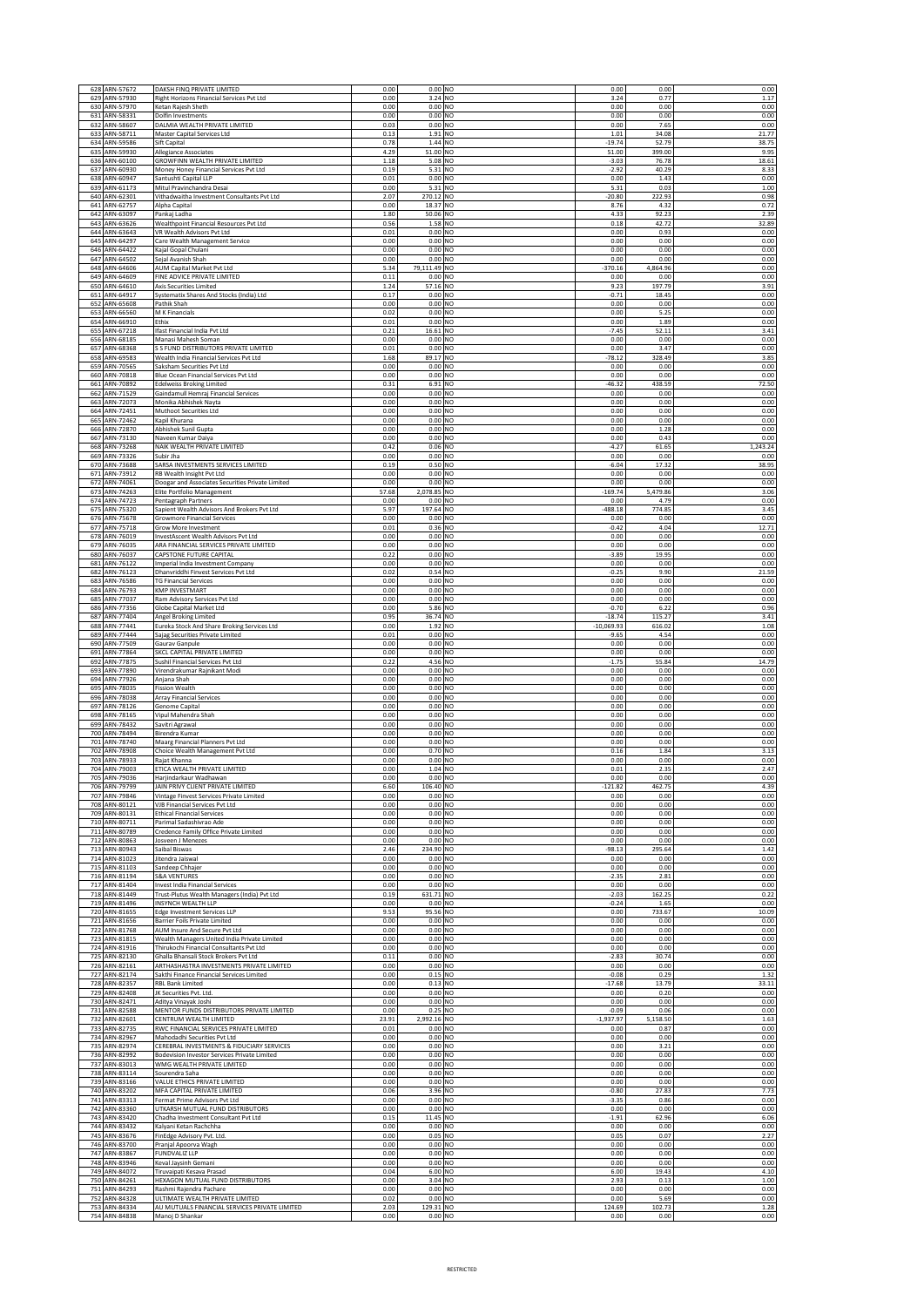|            | 628 ARN-57672                           | DAKSH FINQ PRIVATE LIMITED                                                                                  | 0.00                 | 0.00 NO                             | 0.00                     | 0.00                   | 0.00                 |
|------------|-----------------------------------------|-------------------------------------------------------------------------------------------------------------|----------------------|-------------------------------------|--------------------------|------------------------|----------------------|
| 630        | 629 ARN-57930<br>ARN-57970              | Right Horizons Financial Services Pvt Ltd<br>Ketan Rajesh Sheth                                             | 0.00<br>0.00         | 3.24 NO<br>$0.00$ NO                | 3.24<br>0.00             | 0.77<br>0.00           | 1.17<br>0.00         |
| 631        | ARN-58331<br>632 ARN-58607              | Dolfin Investments<br>DALMIA WEALTH PRIVATE LIMITED                                                         | 0.00<br>0.03         | 0.00 NO<br>0.00 NO                  | 0.00<br>0.00             | 0.00<br>7.65           | 0.00                 |
| 633        | ARN-58711                               | Master Capital Services Ltd                                                                                 | 0.13                 | 1.91 NO                             | 1.01                     | 34.08                  | 0.00<br>21.77        |
| 634        | ARN-59586                               | Sift Capital                                                                                                | 0.78                 | 1.44 NO                             | $-19.74$                 | 52.79                  | 38.75                |
| 635<br>636 | ARN-59930<br>ARN-60100                  | Allegiance Associates<br>GROWFINN WEALTH PRIVATE LIMITED                                                    | 4.29<br>1.18         | 51.00 NO<br>5.08 NO                 | 51.00<br>$-3.03$         | 399.00<br>76.78        | 9.95<br>18.61        |
| 637        | ARN-60930                               | Money Honey Financial Services Pvt Ltd                                                                      | 0.19                 | 5.31 NO<br>0.00 NO                  | $-2.92$                  | 40.29                  | 8.33                 |
| 638<br>639 | ARN-60947<br>ARN-61173                  | Santushti Capital LLP<br>Mitul Pravinchandra Desai                                                          | 0.01<br>0.00         | 5.31 NO                             | 0.00<br>5.31             | 1.43<br>0.03           | 0.00<br>1.00         |
| 640        | ARN-62301                               | Vithadwaitha Investment Consultants Pvt Ltd                                                                 | 2.07                 | 270.12 NO                           | $-20.80$                 | 222.93                 | 0.98                 |
|            | 641 ARN-62757<br>642 ARN-63097          | Alpha Capital<br>Pankaj Ladha                                                                               | 0.00<br>1.80         | 18.37 NO<br>50.06 NO                | 8.76<br>4.33             | 4.32<br>92.23          | 0.72<br>2.39         |
| 643        | ARN-63626                               | Wealthpoint Financial Resources Pvt Ltd                                                                     | 0.56                 | 1.58 NO                             | 0.18                     | 42.72                  | 32.89                |
| 644<br>645 | ARN-63643<br>ARN-64297                  | VR Wealth Advisors Pvt Ltd<br>Care Wealth Management Service                                                | 0.01<br>0.00         | $0.00$ NO<br>0.00 NO                | 0.00<br>0.00             | 0.93<br>0.00           | 0.00<br>0.00         |
| 646        | ARN-64422                               | Kajal Gopal Chulani                                                                                         | 0.00                 | $0.00$ NO                           | 0.00                     | 0.00                   | 0.00                 |
| 647        | ARN-64502                               | Sejal Avanish Shah                                                                                          | 0.00                 | 0.00 NO                             | 0.00                     | 0.00                   | 0.00                 |
| 648<br>649 | ARN-64606<br>ARN-64609                  | AUM Capital Market Pvt Ltd<br>FINE ADVICE PRIVATE LIMITED                                                   | 5.34<br>0.11         | 79,111.49 NO<br>$0.00$ NO           | $-370.16$<br>0.00        | 4,864.96<br>0.00       | 0.00<br>0.00         |
| 650        | ARN-64610                               | Axis Securities Limited                                                                                     | 1.24                 | 57.16 NO                            | 9.23                     | 197.79                 | 3.91                 |
| 651<br>652 | ARN-64917<br>ARN-65608                  | Systematix Shares And Stocks (India) Ltd<br>Pathik Shah                                                     | 0.17<br>0.00         | 0.00 NO<br>$0.00$ NO                | $-0.71$<br>0.00          | 18.45<br>0.00          | 0.00<br>0.00         |
|            | 653 ARN-66560                           | M K Financials                                                                                              | 0.02                 | 0.00 NO                             | 0.00                     | 5.25                   | 0.00                 |
| 655        | 654 ARN-66910<br>ARN-67218              | Ethix<br>Ifast Financial India Pvt Ltd                                                                      | 0.01<br>0.21         | 0.00 NO<br>16.61<br>N <sub>O</sub>  | 0.00<br>$-7.45$          | 1.89<br>52.11          | 0.00<br>3.41         |
| 656        | ARN-68185                               | Manasi Mahesh Soman                                                                                         | 0.00                 | 0.00 NO                             | 0.00                     | 0.00                   | 0.00                 |
| 657<br>658 | ARN-68368<br>ARN-69583                  | S S FUND DISTRIBUTORS PRIVATE LIMITED<br>Wealth India Financial Services Pvt Ltd                            | 0.01<br>1.68         | 0.00 NO<br>89.17 NO                 | 0.00<br>$-78.12$         | 3.47<br>328.49         | 0.00<br>3.85         |
| 659        | ARN-70565                               | Saksham Securities Pvt Ltd                                                                                  | 0.00                 | 0.00 NO                             | 0.00                     | 0.00                   | 0.00                 |
| 660<br>661 | ARN-70818<br>ARN-70892                  | Blue Ocean Financial Services Pvt Ltd                                                                       | 0.00<br>0.31         | $0.00$ NO<br>6.91 NO                | 0.00<br>$-46.32$         | 0.00<br>438.59         | 0.00<br>72.50        |
| 662        | ARN-71529                               | <b>Edelweiss Broking Limited</b><br>Gaindamull Hemraj Financial Services                                    | 0.00                 | 0.00 NO                             | 0.00                     | 0.00                   | 0.00                 |
| 663        | ARN-72073                               | Monika Abhishek Nayta                                                                                       | 0.00                 | 0.00 NO                             | 0.00                     | 0.00                   | 0.00                 |
| 664<br>665 | ARN-72451<br>ARN-72462                  | Muthoot Securities Ltd<br>Kapil Khurana                                                                     | 0.00<br>0.00         | 0.00 NO<br>0.00 NO                  | 0.00<br>0.00             | 0.00<br>0.00           | 0.00<br>0.00         |
|            | 666 ARN-72870                           | Abhishek Sunil Gupta                                                                                        | 0.00                 | 0.00 NO                             | 0.00                     | 1.28                   | 0.00                 |
| 667<br>668 | ARN-73130<br>ARN-73268                  | Naveen Kumar Daiya<br>NAIK WEALTH PRIVATE LIMITED                                                           | 0.00<br>0.42         | 0.00 NO<br>0.06 NO                  | 0.00<br>$-4.27$          | 0.43<br>61.65          | 0.00<br>1,243.24     |
| 669        | ARN-73326                               | Subir Jha                                                                                                   | 0.00                 | $0.00$ NO                           | 0.00                     | 0.00                   | 0.00                 |
| 671        | 670 ARN-73688<br>ARN-73912              | SARSA INVESTMENTS SERVICES LIMITED<br>RB Wealth Insight Pvt Ltd                                             | 0.19<br>0.00         | 0.50 NO<br>$0.00$ NO                | $-6.04$<br>0.00          | 17.32<br>0.00          | 38.95<br>0.00        |
| 672        | ARN-74061                               | Doogar and Associates Securities Private Limited                                                            | 0.00                 | 0.00 NO                             | 0.00                     | 0.00                   | 0.00                 |
| 673        | ARN-74263                               | Elite Portfolio Management                                                                                  | 57.68                | 2,078.85 NO<br>$0.00$ NO            | $-169.74$                | 5,479.86               | 3.06                 |
| 674<br>675 | ARN-74723<br>ARN-75320                  | Pentagraph Partners<br>Sapient Wealth Advisors And Brokers Pvt Ltd                                          | 0.00<br>5.97         | 197.64 NO                           | 0.00<br>$-488.18$        | 4.79<br>774.85         | 0.00<br>3.45         |
|            | 676 ARN-75678                           | <b>Growmore Financial Services</b>                                                                          | 0.00                 | $0.00$ NO                           | 0.00                     | 0.00                   | 0.00                 |
| 677<br>678 | ARN-75718<br>ARN-76019                  | Grow More Investment<br>InvestAscent Wealth Advisors Pvt Ltd                                                | 0.01<br>0.00         | $0.36$ NO<br>0.00 NO                | $-0.42$<br>0.00          | 4.04<br>0.00           | 12.71<br>0.00        |
| 679        | ARN-76035                               | ARA FINANCIAL SERVICES PRIVATE LIMITED                                                                      | 0.00                 | 0.00 NO                             | 0.00                     | 0.00                   | 0.00                 |
| 680<br>681 | ARN-76037<br>ARN-76122                  | CAPSTONE FUTURE CAPITAL<br>Imperial India Investment Company                                                | 0.22<br>0.00         | 0.00 NO<br>$0.00$ NO                | $-3.89$<br>0.00          | 19.95<br>0.00          | 0.00<br>0.00         |
| 682        | ARN-76123                               | Dhanvriddhi Finvest Services Pvt Ltd                                                                        | 0.02                 | 0.54 NO                             | $-0.25$                  | 9.90                   | 21.59                |
| 683<br>684 | ARN-76586<br>ARN-76793                  | <b>TG Financial Services</b><br>KMP INVESTMART                                                              | 0.00<br>0.00         | $0.00$ NO<br>$0.00$ NO              | 0.00<br>0.00             | 0.00<br>0.00           | 0.00<br>0.00         |
| 685        | ARN-77037                               | Ram Advisory Services Pvt Ltd                                                                               | 0.00                 | $0.00$ NO                           | 0.00                     | 0.00                   | 0.00                 |
| 686        | ARN-77356                               | <b>Globe Capital Market Ltd</b>                                                                             | 0.00                 | 5.86 NO                             | $-0.70$                  | 6.22                   | 0.96                 |
| 687<br>688 | ARN-77404<br>ARN-77441                  | Angel Broking Limited<br>Eureka Stock And Share Broking Services Ltd                                        | 0.95<br>0.00         | 36.74 NO<br>1.92 NO                 | $-18.74$<br>$-10,069.93$ | 115.27<br>616.02       | 3.41<br>1.08         |
| 689        | ARN-77444                               | Sajag Securities Private Limited                                                                            | 0.01                 | 0.00 NO                             | $-9.65$                  | 4.54                   | 0.00                 |
| 690<br>691 | ARN-77509<br>ARN-77864                  | Gaurav Ganpule<br>SKCL CAPITAL PRIVATE LIMITED                                                              | 0.00<br>0.00         | $0.00$ NO<br>0.00 NO                | 0.00<br>0.00             | 0.00<br>0.00           | 0.00<br>0.00         |
| 692        | ARN-77875                               | Sushil Financial Services Pvt Ltd                                                                           | 0.22                 | 4.56 NO                             | $-1.75$                  | 55.84                  | 14.79                |
| 693<br>694 | ARN-77890<br>ARN-77926                  | Virendrakumar Rajnikant Modi<br>Anjana Shah                                                                 | 0.00<br>0.00         | 0.00 NO<br>$0.00$ NO                | 0.00<br>0.00             | 0.00<br>0.00           | 0.00<br>0.00         |
| 695        | ARN-78035                               | <b>Fission Wealth</b>                                                                                       | 0.00                 | 0.00 NO                             | 0.00                     | 0.00                   | 0.00                 |
| 696        | ARN-78038                               | Array Financial Services                                                                                    | 0.00                 | 0.00 NO                             | 0.00                     | 0.00                   | 0.00                 |
| 697<br>698 | ARN-78126<br>ARN-78165                  | Genome Capital<br>Vipul Mahendra Shah                                                                       | 0.00<br>0.00         | $0.00$ NO<br>0.00 NO                | 0.00<br>0.00             | 0.00<br>0.00           | 0.00<br>0.00         |
| 699        | ARN-78432                               | Savitri Agrawal                                                                                             | 0.00                 | $0.00$ NO                           | 0.00                     | 0.00                   | 0.00                 |
| 700<br>701 | ARN-78494<br>ARN-78740                  | Birendra Kumar<br>Maarg Financial Planners Pvt Ltd                                                          | 0.00<br>0.00         | $0.00$ NO<br>0.00 NO                | 0.00<br>0.00             | 0.00<br>0.00           | 0.00<br>0.00         |
| 702        | ARN-78908                               | Choice Wealth Management Pvt Ltd                                                                            | 0.00                 | $0.70$ NO                           | 0.16                     | 1.84                   | 3.13                 |
| 703<br>704 | ARN-78933<br>ARN-79003                  | Rajat Khanna<br>ETICA WEALTH PRIVATE LIMITED                                                                | 0.00<br>0.00         | $0.00$ NO<br>1.04 NO                | 0.00<br>0.01             | 0.00<br>2.35           | 0.00<br>2.47         |
|            | 705 ARN-79036                           | Harjindarkaur Wadhawan                                                                                      | 0.00                 | $0.00$ NO                           | 0.00                     | 0.00                   | 0.00                 |
|            | 706 ARN-79799<br>707 ARN-79846          | AIN PRIVY CLIENT PRIVATE LIMITED<br>Vintage Finvest Services Private Limited                                | 6.60<br>0.00         | 106.40 NO<br>$0.00$ NO              | $-121.82$<br>0.00        | 462.75<br>0.00         | 4.39<br>0.00         |
|            | 708 ARN-80121                           | VJB Financial Services Pvt Ltd                                                                              | 0.00                 | 0.00 NO                             | 0.00                     | 0.00                   | 0.00                 |
| 709        | ARN-80131<br>710 ARN-80711              | <b>Ethical Financial Services</b><br>Parimal Sadashivrao Ade                                                | 0.00<br>0.00         | $0.00$ NO<br>$0.00$ NO              | 0.00<br>0.00             | 0.00<br>0.00           | 0.00<br>0.00         |
| 711        | ARN-80789                               | Credence Family Office Private Limited                                                                      | 0.00                 | $0.00$ NO                           | 0.00                     | 0.00                   | 0.00                 |
| 712        | ARN-80863                               | Josveen J Menezes                                                                                           | 0.00                 | $0.00$ NO                           | 0.00                     | 0.00                   | 0.00                 |
|            | 713 ARN-80943<br>714 ARN-81023          | Saibal Biswas<br>Jitendra Jaiswal                                                                           | 2.46<br>0.00         | 234.90 NO<br>$0.00$ NO              | $-98.13$<br>0.00         | 295.64<br>0.00         | 1.42<br>0.00         |
|            | 715 ARN-81103                           | Sandeep Chhajer                                                                                             | 0.00                 | $0.00$ NO                           | 0.00                     | 0.00                   | 0.00                 |
|            | 716 ARN-81194<br>717 ARN-81404          | <b>S&amp;A VENTURES</b><br>Invest India Financial Services                                                  | 0.00<br>0.00         | $0.00$ NO<br>$0.00$ NO              | $-2.35$<br>0.00          | 2.81<br>0.00           | 0.00<br>0.00         |
|            | 718 ARN-81449                           | Trust-Plutus Wealth Managers (India) Pvt Ltd                                                                | 0.19                 | 631.71 NO                           | $-2.03$                  | 162.25                 | 0.22                 |
|            | 719 ARN-81496<br>720 ARN-81655          | INSYNCH WEALTH LLP<br><b>Edge Investment Services LLP</b>                                                   | 0.00<br>9.53         | $0.00$ NO<br>95.56 NO               | $-0.24$<br>0.00          | 1.65<br>733.67         | 0.00<br>10.09        |
| 721        | ARN-81656                               | Barrier Foils Private Limited                                                                               | 0.00                 | $0.00$ NO                           | 0.00                     | 0.00                   | 0.00                 |
| 722        | ARN-81768<br>723 ARN-81815              | AUM Insure And Secure Pvt Ltd<br>Wealth Managers United India Private Limited                               | 0.00<br>0.00         | $0.00$ NO<br>$0.00$ NO              | 0.00<br>0.00             | 0.00<br>0.00           | 0.00<br>0.00         |
|            | 724 ARN-81916                           | Thirukochi Financial Consultants Pvt Ltd                                                                    | 0.00                 | $0.00$ NO                           | 0.00                     | 0.00                   | 0.00                 |
| 725        | ARN-82130<br>726 ARN-82161              | Ghalla Bhansali Stock Brokers Pvt Ltd<br>ARTHASHASTRA INVESTMENTS PRIVATE LIMITED                           | 0.11<br>0.00         | $0.00$ NO<br>0.00 NO                | $-2.83$<br>0.00          | 30.74<br>0.00          | 0.00<br>0.00         |
| 727        | ARN-82174                               | Sakthi Finance Financial Services Limited                                                                   | 0.00                 | $0.15$ NO                           | $-0.08$                  | 0.29                   | 1.32                 |
|            | 728 ARN-82357                           | <b>RBL Bank Limited</b>                                                                                     | 0.00                 | $0.13$ NO                           | $-17.68$                 | 13.79                  | 33.11                |
|            | 729 ARN-82408<br>730 ARN-82471          | JK Securities Pvt. Ltd.<br>Aditya Vinayak Joshi                                                             | 0.00<br>0.00         | $0.00$ NO<br>0.00 NO                | 0.00<br>0.00             | 0.20<br>0.00           | 0.00<br>0.00         |
| 731        | ARN-82588                               | MENTOR FUNDS DISTRIBUTORS PRIVATE LIMITED                                                                   | 0.00                 | 0.25 NO                             | $-0.09$                  | 0.06                   | 0.00                 |
|            |                                         |                                                                                                             | 23.91                | 2,992.16 NO<br>$0.00$ NO            | $-1,937.97$              | 5,158.50<br>0.87       | 1.63<br>0.00         |
| 734        | 732 ARN-82601<br>733 ARN-82735          | CENTRUM WEALTH LIMITED<br>RWC FINANCIAL SERVICES PRIVATE LIMITED                                            | 0.01                 |                                     | 0.00                     |                        |                      |
|            | ARN-82967                               | Mahodadhi Securities Pvt Ltd                                                                                | 0.00                 | $0.00$ NO                           | 0.00                     | 0.00                   | 0.00                 |
|            | 735 ARN-82974                           | CEREBRAL INVESTMENTS & FIDUCIARY SERVICES                                                                   | 0.00                 | $0.00$ NO                           | 0.00                     | 3.21                   | 0.00                 |
| 737        | 736 ARN-82992<br>ARN-83013              | Bodevision Investor Services Private Limited<br>WMG WEALTH PRIVATE LIMITED                                  | 0.00<br>0.00         | $0.00$ NO<br>$0.00$ NO              | 0.00<br>0.00             | 0.00<br>0.00           | 0.00<br>0.00         |
|            | 738 ARN-83114                           | Sourendra Saha                                                                                              | 0.00                 | $0.00$ NO                           | 0.00                     | 0.00                   | 0.00                 |
|            | 739 ARN-83166<br>740 ARN-83202          | VALUE ETHICS PRIVATE LIMITED<br>MFA CAPITAL PRIVATE LIMITED                                                 | 0.00<br>0.06         | $0.00$ NO<br>3.96 NO                | 0.00<br>$-0.80$          | 0.00<br>27.83          | 0.00<br>7.73         |
|            | 741 ARN-83313                           | Fermat Prime Advisors Pvt Ltd                                                                               | 0.00                 | $0.00$ NO                           | $-3.35$                  | 0.86                   | 0.00                 |
|            | 742 ARN-83360<br>743 ARN-83420          | UTKARSH MUTUAL FUND DISTRIBUTORS<br>Chadha Investment Consultant Pvt Ltd                                    | 0.00<br>0.15         | $0.00$ NO<br>11.45 NO               | 0.00<br>$-1.91$          | 0.00<br>62.96          | 0.00<br>6.06         |
|            | 744 ARN-83432                           | Kalyani Ketan Rachchha                                                                                      | 0.00                 | $0.00$ NO                           | 0.00                     | 0.00                   | 0.00                 |
| 746        | 745 ARN-83676<br>ARN-83700              | FinEdge Advisory Pvt. Ltd.<br>Pranjal Apoorva Wagh                                                          | 0.00<br>0.00         | 0.05 NO<br>$0.00$ NO                | 0.05<br>0.00             | 0.07<br>0.00           | 2.27<br>0.00         |
| 747        | ARN-83867                               | <b>FUNDVALIZ LLP</b>                                                                                        | 0.00                 | $0.00$ NO                           | 0.00                     | 0.00                   | 0.00                 |
| 749        | 748 ARN-83946<br>ARN-84072              | Keval Jaysinh Gemani<br>Tiruvaipati Kesava Prasad                                                           | 0.00<br>0.04         | $0.00$ NO<br>6.00 NO                | 0.00<br>6.00             | 0.00<br>19.43          | 0.00<br>4.10         |
| 750        | ARN-84261                               | HEXAGON MUTUAL FUND DISTRIBUTORS                                                                            | 0.00                 | 3.04 NO                             | 2.93                     | 0.13                   | 1.00                 |
| 751<br>753 | ARN-84293<br>752 ARN-84328<br>ARN-84334 | Rashmi Rajendra Pachare<br>ULTIMATE WEALTH PRIVATE LIMITED<br>AU MUTUALS FINANCIAL SERVICES PRIVATE LIMITED | 0.00<br>0.02<br>2.03 | $0.00$ NO<br>$0.00$ NO<br>129.31 NO | 0.00<br>0.00<br>124.69   | 0.00<br>5.69<br>102.73 | 0.00<br>0.00<br>1.28 |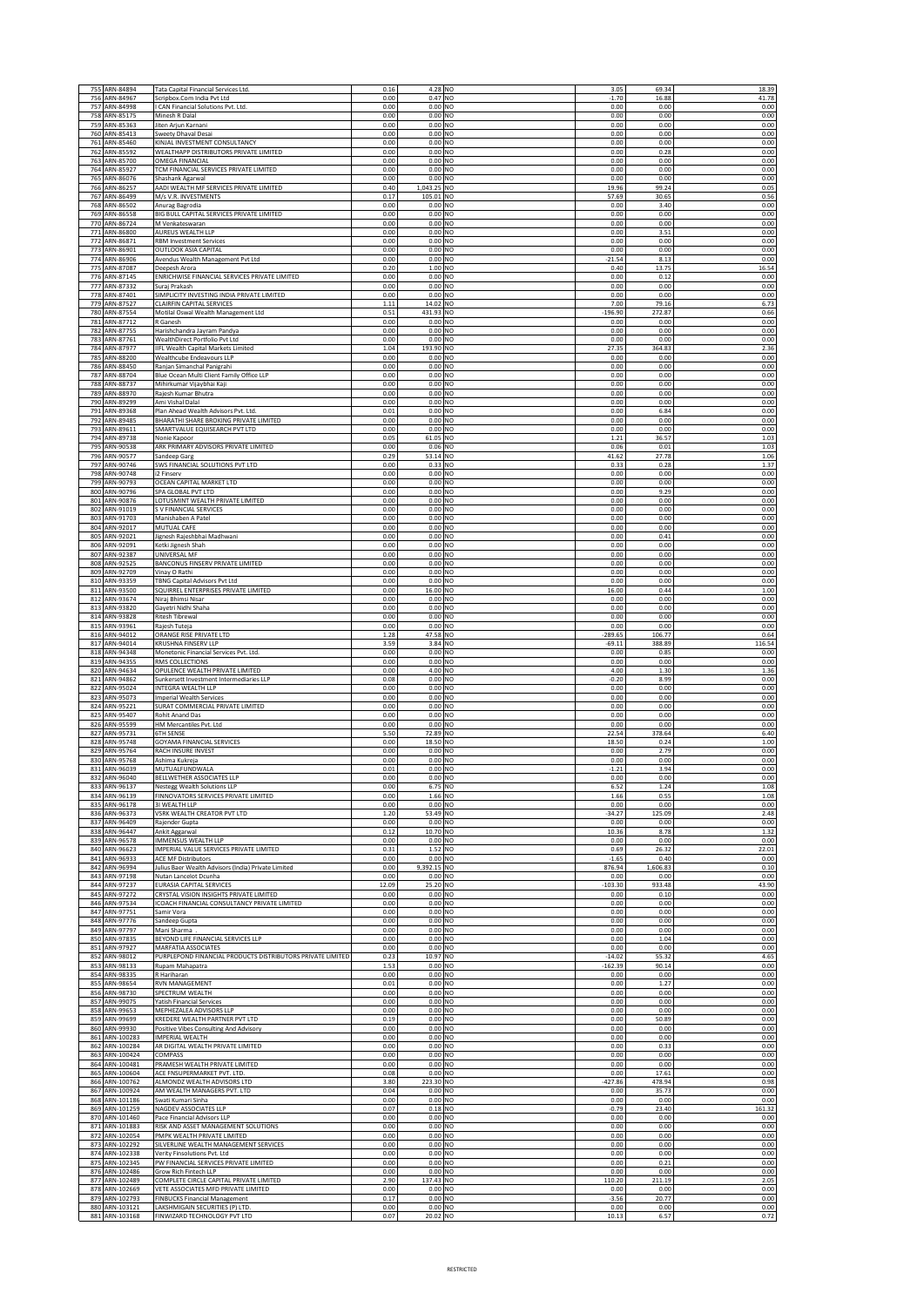|            | 755 ARN-84894                  | Tata Capital Financial Services Ltd.                                                    | 0.16         | 4.28 NO                | 3.05                  | 69.34          | 18.39          |
|------------|--------------------------------|-----------------------------------------------------------------------------------------|--------------|------------------------|-----------------------|----------------|----------------|
| 756        | ARN-84967                      | Scripbox.Com India Pvt Ltd                                                              | 0.00         | 0.47 NO                | $-1.70$               | 16.88          | 41.78          |
| 757        | ARN-84998                      | I CAN Financial Solutions Pvt. Ltd.                                                     | 0.00         | $0.00$ NO              | 0.00                  | 0.00           | 0.00           |
| 758        | ARN-85175                      | Minesh R Dalal                                                                          | 0.00         | $0.00$ NO<br>$0.00$ NO | 0.00                  | 0.00           | 0.00           |
| 759<br>760 | ARN-85363<br>ARN-85413         | Jiten Arjun Karnani<br>Sweety Dhaval Desai                                              | 0.00<br>0.00 | $0.00$ NO              | 0.00<br>0.00          | 0.00<br>0.00   | 0.00<br>0.00   |
| 761        | ARN-85460                      | KINJAL INVESTMENT CONSULTANCY                                                           | 0.00         | $0.00$ NO              | 0.00                  | 0.00           | 0.00           |
| 762        | ARN-85592                      | WEALTHAPP DISTRIBUTORS PRIVATE LIMITED                                                  | 0.00         | 0.00 NO                | 0.00                  | 0.28           | 0.00           |
| 763        | ARN-85700                      | OMEGA FINANCIAL                                                                         | 0.00         | 0.00 NO                | 0.00                  | 0.00           | 0.00           |
| 764        | ARN-85927                      | TCM FINANCIAL SERVICES PRIVATE LIMITED                                                  | 0.00         | $0.00$ NO<br>$0.00$ NO | 0.00                  | 0.00           | 0.00           |
| 765<br>766 | ARN-86076<br>ARN-86257         | Shashank Agarwal<br>AADI WEALTH MF SERVICES PRIVATE LIMITED                             | 0.00<br>0.40 | 1,043.25 NO            | 0.00<br>19.96         | 0.00<br>99.24  | 0.00<br>0.05   |
| 767        | ARN-86499                      | M/s V.R. INVESTMENTS                                                                    | 0.17         | 105.01 NO              | 57.69                 | 30.65          | 0.56           |
| 768        | ARN-86502                      | Anurag Bagrodia                                                                         | 0.00         | 0.00 NO                | 0.00                  | 3.40           | 0.00           |
| 769        | ARN-86558                      | BIG BULL CAPITAL SERVICES PRIVATE LIMITED                                               | 0.00         | 0.00<br>N <sub>O</sub> | 0.00                  | 0.00           | 0.00           |
| 770        | ARN-86724                      | M Venkateswaran                                                                         | 0.00         | 0.00 NO                | 0.00                  | 0.00           | 0.00           |
| 771        | ARN-86800                      | AUREUS WEALTH LLF                                                                       | 0.00         | 0.00 NO                | 0.00                  | 3.51           | 0.00           |
| 772        | ARN-86871                      | <b>RBM Investment Services</b>                                                          | 0.00         | 0.00 NO                | 0.00                  | 0.00           | 0.00           |
| 773<br>774 | ARN-86901<br>ARN-86906         | OUTLOOK ASIA CAPITAL<br>Avendus Wealth Management Pvt Ltd                               | 0.00<br>0.00 | $0.00$ NO<br>0.00 NO   | 0.00<br>$-21.54$      | 0.00<br>8.13   | 0.00<br>0.00   |
| 775        | ARN-87087                      | Deepesh Arora                                                                           | 0.20         | 1.00 NO                | 0.40                  | 13.75          | 16.54          |
| 776        | ARN-87145                      | ENRICHWISE FINANCIAL SERVICES PRIVATE LIMITED                                           | 0.00         | 0.00 NO                | 0.00                  | 0.12           | 0.00           |
| 777        | ARN-87332                      | Suraj Prakash                                                                           | 0.00         | 0.00 NO                | 0.00                  | 0.00           | 0.00           |
| 778        | ARN-87401                      | SIMPLICITY INVESTING INDIA PRIVATE LIMITED                                              | 0.00         | 0.00 NO                | 0.00                  | 0.00           | 0.00           |
| 779        | ARN-87527                      | CLAIRFIN CAPITAL SERVICES                                                               | $1.11\,$     | 14.02 NO               | 7.00                  | 79.16          | 6.73           |
| 780<br>781 | ARN-87554<br>ARN-87712         | Motilal Oswal Wealth Management Ltd<br>R Ganesh                                         | 0.51<br>0.00 | 431.93 NO<br>0.00 NO   | $-196.90$<br>0.00     | 272.87<br>0.00 | 0.66<br>0.00   |
| 782        | ARN-87755                      | Harishchandra Jayram Pandya                                                             | 0.00         | 0.00 NO                | 0.00                  | 0.00           | 0.00           |
| 783        | ARN-87761                      | WealthDirect Portfolio Pvt Ltd                                                          | 0.00         | 0.00 NO                | 0.00                  | 0.00           | 0.00           |
| 784        | ARN-87977                      | IIFL Wealth Capital Markets Limited                                                     | 1.04         | 193.90 NO              | 27.35                 | 364.83         | 2.36           |
| 785        | ARN-88200                      | Wealthcube Endeavours LLP                                                               | 0.00         | 0.00 NO                | 0.00                  | 0.00           | 0.00           |
| 786        | ARN-88450                      | Ranjan Simanchal Panigrahi                                                              | 0.00         | $0.00$ NO              | 0.00                  | 0.00           | 0.00           |
| 787<br>788 | ARN-88704                      | Blue Ocean Multi Client Family Office LLP                                               | 0.00         | 0.00 NO                | 0.00                  | 0.00<br>0.00   | 0.00           |
| 789        | ARN-88737<br>ARN-88970         | Mihirkumar Vijaybhai Kaji<br>Rajesh Kumar Bhutra                                        | 0.00<br>0.00 | 0.00 NO<br>$0.00$ NO   | 0.00<br>0.00          | 0.00           | 0.00<br>0.00   |
|            | 790 ARN-89299                  | Ami Vishal Dalal                                                                        | 0.00         | 0.00 NO                | 0.00                  | 0.00           | 0.00           |
| 791        | ARN-89368                      | Plan Ahead Wealth Advisors Pvt. Ltd.                                                    | 0.01         | 0.00 NO                | 0.00                  | 6.84           | 0.00           |
| 792        | ARN-89485                      | BHARATHI SHARE BROKING PRIVATE LIMITED                                                  | 0.00         | 0.00 NO                | 0.00                  | 0.00           | 0.00           |
| 793        | ARN-89611                      | SMARTVALUE EQUISEARCH PVT LTD                                                           | 0.00         | 0.00 NO                | 0.00                  | 0.00           | 0.00           |
| 794<br>795 | ARN-89738<br>ARN-90538         | Nonie Kapoor<br>ARK PRIMARY ADVISORS PRIVATE LIMITED                                    | 0.05         | 61.05 NO               | 1.21                  | 36.57          | 1.03           |
| 796        | ARN-90577                      | Sandeep Garg                                                                            | 0.00<br>0.29 | 0.06 NO<br>53.14 NO    | 0.06<br>41.62         | 0.01<br>27.78  | 1.03<br>1.06   |
| 797        | ARN-90746                      | SWS FINANCIAL SOLUTIONS PVT LTD                                                         | 0.00         | 0.33 NO                | 0.33                  | 0.28           | 1.37           |
| 798        | ARN-90748                      | i2 Finserv                                                                              | 0.00         | $0.00$ NO              | 0.00                  | 0.00           | 0.00           |
| 799        | ARN-90793                      | OCEAN CAPITAL MARKET LTD                                                                | 0.00         | 0.00 NO                | 0.00                  | 0.00           | 0.00           |
| 800        | ARN-90796                      | SPA GLOBAL PVT LTD                                                                      | 0.00         | 0.00 NO                | 0.00                  | 9.29           | 0.00           |
| 801        | ARN-90876                      | LOTUSMINT WEALTH PRIVATE LIMITED                                                        | 0.00         | $0.00$ NO              | 0.00                  | 0.00           | 0.00           |
| 802<br>803 | ARN-91019<br>ARN-91703         | S V FINANCIAL SERVICES<br>Manishaben A Patel                                            | 0.00<br>0.00 | $0.00$ NO<br>0.00 NO   | 0.00<br>0.00          | 0.00<br>0.00   | 0.00<br>0.00   |
| 804        | ARN-92017                      | MUTUAL CAFE                                                                             | 0.00         | 0.00 NO                | 0.00                  | 0.00           | 0.00           |
| 805        | ARN-92021                      | Jignesh Rajeshbhai Madhwani                                                             | 0.00         | 0.00 NO                | 0.00                  | 0.41           | 0.00           |
| 806        | ARN-92091                      | Ketki Jignesh Shah                                                                      | 0.00         | 0.00 NO                | 0.00                  | 0.00           | 0.00           |
| 807        | ARN-92387                      | UNIVERSAL MF                                                                            | 0.00         | 0.00 NO                | 0.00                  | 0.00           | 0.00           |
| 808        | ARN-92525                      | BANCONUS FINSERV PRIVATE LIMITED                                                        | 0.00         | 0.00 NO                | 0.00                  | 0.00           | 0.00           |
| 809        | ARN-92709                      | Vinay O Rathi                                                                           | 0.00<br>0.00 | $0.00$ NO<br>$0.00$ NO | 0.00<br>0.00          | 0.00<br>0.00   | 0.00           |
| 810<br>811 | ARN-93359<br>ARN-93500         | TBNG Capital Advisors Pvt Ltd<br>SQUIRREL ENTERPRISES PRIVATE LIMITED                   | 0.00         | 16.00 NO               | 16.00                 | 0.44           | 0.00<br>1.00   |
| 812        | ARN-93674                      | Niraj Bhimsi Nisar                                                                      | 0.00         | 0.00 NO                | 0.00                  | 0.00           | 0.00           |
| 813        | ARN-93820                      | Gayetri Nidhi Shaha                                                                     | 0.00         | 0.00 NO                | 0.00                  | 0.00           | 0.00           |
| 814        | ARN-93828                      | <b>Ritesh Tibrewal</b>                                                                  | 0.00         | 0.00 NO                | 0.00                  | 0.00           | 0.00           |
|            | 815 ARN-93961                  | Rajesh Tuteja                                                                           | 0.00         | 0.00 NO                | 0.00                  | 0.00           | 0.00           |
|            | 816 ARN-94012                  | ORANGE RISE PRIVATE LTD                                                                 | 1.28         | 47.58 NO               | $-289.65$             | 106.77         | 0.64           |
| 817<br>818 | ARN-94014<br>ARN-94348         | KRUSHNA FINSERV LLP<br>Monetonic Financial Services Pvt. Ltd.                           | 3.59<br>0.00 | 3.84 NO<br>0.00 NO     | $-69.11$<br>0.00      | 388.89<br>0.85 | 116.54<br>0.00 |
| 819        | ARN-94355                      | RMS COLLECTIONS                                                                         | 0.00         | 0.00 NO                | 0.00                  | 0.00           | 0.00           |
| 820        | ARN-94634                      | OPULENCE WEALTH PRIVATE LIMITED                                                         | 0.00         | 4.00 NO                | 4.00                  | 1.30           | 1.36           |
| 821        | ARN-94862                      | Sunkersett Investment Intermediaries LLP                                                | 0.08         | 0.00 NO                | $-0.20$               | 8.99           | 0.00           |
| 822        | ARN-95024                      | INTEGRA WEALTH LLP                                                                      | 0.00         | 0.00 NO                | 0.00                  | 0.00           | 0.00           |
| 823        | ARN-95073                      | <b>Imperial Wealth Services</b>                                                         | 0.00         | $0.00$ NO              | 0.00                  | 0.00           | 0.00           |
| 824        | ARN-95221                      | SURAT COMMERCIAL PRIVATE LIMITED                                                        | 0.00         | 0.00N<br>$0.00$ NO     | 0.00                  | 0.00           | 0.00           |
| 825<br>826 | ARN-95407<br>ARN-95599         | <b>Rohit Anand Das</b><br>HM Mercantiles Pvt. Ltd                                       | 0.00<br>0.00 | 0.00 NO                | 0.00<br>0.00          | 0.00<br>0.00   | 0.00<br>0.00   |
| 827        | ARN-95731                      | <b>6TH SENSE</b>                                                                        | 5.50         | 72.89 NO               | 22.54                 | 378.64         | 6.40           |
| 828        | ARN-95748                      | GOYAMA FINANCIAL SERVICES                                                               | 0.00         | 18.50 NO               | 18.50                 | 0.24           | 1.00           |
| 829        | ARN-95764                      | RACH INSURE INVEST                                                                      | 0.00         | 0.00 NO                | 0.00                  | 2.79           | 0.00           |
| 830        | ARN-95768                      | Ashima Kukreja                                                                          | 0.00         | 0.00 NO                | 0.00                  | 0.00           | 0.00           |
| 831        | ARN-96039                      | MUTUALFUNDWALA<br>BELLWETHER ASSOCIATES LLP                                             | 0.01         | 0.00 NO                | $-1.21$               | 3.94           | 0.00           |
|            | 832 ARN-96040                  | <b>Nestegg Wealth Solutions LLP</b>                                                     | 0.00         | 0.00 NO                | 0.00                  | 0.00           | 0.00           |
|            | 833 ARN-96137<br>834 ARN-96139 | FINNOVATORS SERVICES PRIVATE LIMITED                                                    | 0.00<br>0.00 | 6.75 NO<br>1.66 NO     | 6.52<br>1.66          | 1.24<br>0.55   | 1.08<br>1.08   |
| 835        | ARN-96178                      | 31 WEALTH LLP                                                                           | 0.00         | $0.00$ NO              | 0.00                  | 0.00           | 0.00           |
| 836        | ARN-96373                      | <b>VSRK WEALTH CREATOR PVT LTD</b>                                                      | 1.20         | 53.49 NO               | $-34.27$              | 125.09         | 2.48           |
| 837        | ARN-96409                      | Rajender Gupta                                                                          | 0.00         | $0.00$ NO              | 0.00                  | 0.00           | 0.00           |
| 838        | ARN-96447                      | Ankit Aggarwal                                                                          | 0.12         | 10.70 NO               | 10.36                 | 8.78           | 1.32           |
| 839        | ARN-96578<br>840 ARN-96623     | IMMENSUS WEALTH LLP<br>IMPERIAL VALUE SERVICES PRIVATE LIMITED                          | 0.00<br>0.31 | $0.00$ NO<br>1.52 NO   | 0.00<br>0.69          | 0.00<br>26.32  | 0.00<br>22.01  |
|            | 841 ARN-96933                  | ACE MF Distributors                                                                     | 0.00         | $0.00$ NO              | $-1.65$               | 0.40           | 0.00           |
| 842        | ARN-96994                      | Julius Baer Wealth Advisors (India) Private Limited                                     | 0.00         | 9,392.15 NO            | 876.94                | 1,606.83       | 0.10           |
| 843        | ARN-97198                      | Nutan Lancelot Dcunha                                                                   | 0.00         | $0.00$ NO              | 0.00                  | 0.00           | 0.00           |
| 844        | ARN-97237                      | EURASIA CAPITAL SERVICES                                                                | 12.09        | 25.20 NO               | $-103.30$             | 933.48         | 43.90          |
| 845<br>846 | ARN-97272<br>ARN-97534         | CRYSTAL VISION INSIGHTS PRIVATE LIMITED<br>ICOACH FINANCIAL CONSULTANCY PRIVATE LIMITED | 0.00<br>0.00 | $0.00$ NO<br>0.00 NO   | 0.00                  | 0.10<br>0.00   | 0.00<br>0.00   |
| 847        | ARN-97751                      | Samir Vora                                                                              | 0.00         | $0.00$ NO              | 0.00<br>0.00          | 0.00           | 0.00           |
| 848        | ARN-97776                      | Sandeep Gupta                                                                           | 0.00         | $0.00$ NO              | 0.00                  | 0.00           | 0.00           |
| 849        | ARN-97797                      | Mani Sharma                                                                             | 0.00         | 0.00 NO                | 0.00                  | 0.00           | 0.00           |
|            | 850 ARN-97835                  | BEYOND LIFE FINANCIAL SERVICES LLP                                                      | 0.00         | $0.00$ NO              | 0.00                  | 1.04           | 0.00           |
| 851        | ARN-97927                      | MARFATIA ASSOCIATES                                                                     | 0.00         | 0.00 NO                | 0.00                  | 0.00           | 0.00           |
| 852<br>853 | ARN-98012<br>ARN-98133         | PURPLEPOND FINANCIAL PRODUCTS DISTRIBUTORS PRIVATE LIMITED<br>Rupam Mahapatra           | 0.23<br>1.53 | 10.97 NO<br>$0.00$ NO  | $-14.02$<br>$-162.39$ | 55.32<br>90.14 | 4.65<br>0.00   |
| 854        | ARN-98335                      | R Hariharan                                                                             | 0.00         | $0.00$ NO              | 0.00                  | 0.00           | 0.00           |
| 855        | ARN-98654                      | <b>RVN MANAGEMENT</b>                                                                   | 0.01         | $0.00$ NO              | 0.00                  | 1.27           | 0.00           |
| 856        | ARN-98730                      | SPECTRUM WEALTH                                                                         | 0.00         | $0.00$ NO              | 0.00                  | 0.00           | 0.00           |
| 857        | ARN-99075                      | <b>Yatish Financial Services</b>                                                        | 0.00         | $0.00$ NO              | 0.00                  | 0.00           | 0.00           |
| 858        | ARN-99653                      | MEPHEZALEA ADVISORS LLP                                                                 | 0.00         | $0.00$ NO              | 0.00                  | 0.00           | 0.00           |
| 859<br>860 | ARN-99699<br>ARN-99930         | KREDERE WEALTH PARTNER PVT LTD<br>Positive Vibes Consulting And Advisory                | 0.19<br>0.00 | $0.00$ NO<br>$0.00$ NO | 0.00<br>0.00          | 50.89<br>0.00  | 0.00<br>0.00   |
| 861        | ARN-100283                     | <b>IMPERIAL WEALTH</b>                                                                  | 0.00         | $0.00$ NO              | 0.00                  | 0.00           | 0.00           |
| 862        | ARN-100284                     | AR DIGITAL WEALTH PRIVATE LIMITED                                                       | 0.00         | 0.00 NO                | 0.00                  | 0.33           | 0.00           |
| 863        | ARN-100424                     | COMPASS                                                                                 | 0.00         | 0.00 NO                | 0.00                  | 0.00           | 0.00           |
| 864        |                                | PRAMESH WEALTH PRIVATE LIMITED                                                          | 0.00         | $0.00$ NO              | 0.00                  | 0.00           | 0.00           |
| 865        | ARN-100481                     |                                                                                         |              | $0.00$ NO              | 0.00                  | 17.61          | 0.00           |
|            | ARN-100604                     | ACE FNSUPERMARKET PVT. LTD.                                                             | 0.08         |                        |                       |                |                |
| 866        | ARN-100762                     | ALMONDZ WEALTH ADVISORS LTD                                                             | 3.80         | 223.30 NO              | $-427.86$             | 478.94         | 0.98           |
| 867        | ARN-100924                     | AM WEALTH MANAGERS PVT. LTD                                                             | 0.04         | $0.00$ NO              | 0.00                  | 35.73          | 0.00           |
| 868<br>869 | ARN-101186<br>ARN-101259       | Swati Kumari Sinha<br>NAGDEV ASSOCIATES LLP                                             | 0.00<br>0.07 | $0.00$ NO<br>$0.18$ NO | 0.00<br>$-0.79$       | 0.00<br>23.40  | 0.00<br>161.32 |
| 870        | ARN-101460                     | Pace Financial Advisors LLP                                                             | 0.00         | 0.00 NO                | 0.00                  | 0.00           | 0.00           |
| 871        | ARN-101883                     | RISK AND ASSET MANAGEMENT SOLUTIONS                                                     | 0.00         | 0.00 NO                | 0.00                  | 0.00           | 0.00           |
| 872        | ARN-102054                     | PMPK WEALTH PRIVATE LIMITED                                                             | 0.00         | $0.00$ NO              | 0.00                  | 0.00           | 0.00           |
| 873        | ARN-102292                     | SILVERLINE WEALTH MANAGEMENT SERVICES                                                   | 0.00         | $0.00$ NO              | 0.00                  | 0.00           | 0.00           |
| 874        | ARN-102338                     | Verity Finsolutions Pvt. Ltd                                                            | 0.00         | 0.00 NO                | 0.00                  | 0.00           | 0.00           |
| 875<br>876 | ARN-102345<br>ARN-102486       | PW FINANCIAL SERVICES PRIVATE LIMITED<br>Grow Rich Fintech LLP                          | 0.00<br>0.00 | 0.00 NO<br>$0.00$ NO   | 0.00<br>0.00          | 0.21<br>0.00   | 0.00<br>0.00   |
| 877        | ARN-102489                     | COMPLETE CIRCLE CAPITAL PRIVATE LIMITED                                                 | 2.90         | 137.43 NO              | 110.20                | 211.19         | 2.05           |
| 878        | ARN-102669                     | VETE ASSOCIATES MFD PRIVATE LIMITED                                                     | 0.00         | $0.00$ NO              | 0.00                  | 0.00           | 0.00           |
| 879        | ARN-102793<br>880 ARN-103121   | <b>FINBUCKS Financial Management</b><br>LAKSHMIGAIN SECURITIES (P) LTD.                 | 0.17<br>0.00 | 0.00 NO<br>0.00 NO     | $-3.56$<br>0.00       | 20.77<br>0.00  | 0.00<br>0.00   |